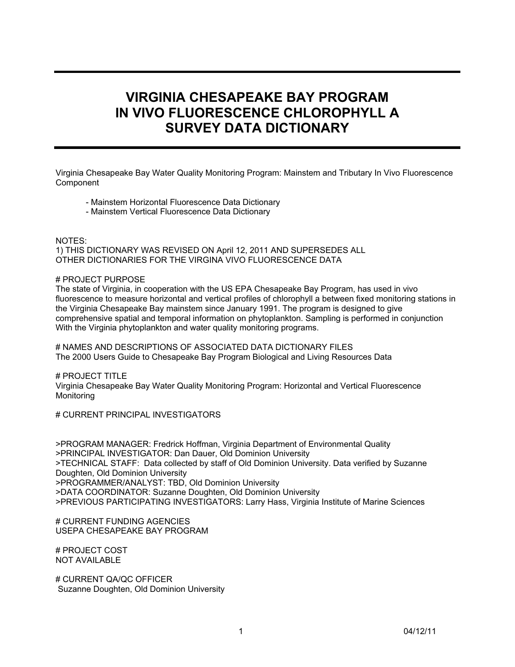# **VIRGINIA CHESAPEAKE BAY PROGRAM IN VIVO FLUORESCENCE CHLOROPHYLL A SURVEY DATA DICTIONARY SURVEY DATA DICTIONARY**

Virginia Chesapeake Bay Water Quality Monitoring Program: Mainstem and Tributary In Vivo Fluorescence **Component** 

- Mainstem Horizontal Fluorescence Data Dictionary
- Mainstem Vertical Fluorescence Data Dictionary

NOTES: 1) THIS DICTIONARY WAS REVISED ON April 12, 2011 AND SUPERSEDES ALL OTHER DICTIONARIES FOR THE VIRGINA VIVO FLUORESCENCE DATA

#### # PROJECT PURPOSE

The state of Virginia, in cooperation with the US EPA Chesapeake Bay Program, has used in vivo fluorescence to measure horizontal and vertical profiles of chlorophyll a between fixed monitoring stations in the Virginia Chesapeake Bay mainstem since January 1991. The program is designed to give comprehensive spatial and temporal information on phytoplankton. Sampling is performed in conjunction With the Virginia phytoplankton and water quality monitoring programs.

# NAMES AND DESCRIPTIONS OF ASSOCIATED DATA DICTIONARY FILES The 2000 Users Guide to Chesapeake Bay Program Biological and Living Resources Data

# PROJECT TITLE Virginia Chesapeake Bay Water Quality Monitoring Program: Horizontal and Vertical Fluorescence Monitoring

# CURRENT PRINCIPAL INVESTIGATORS

>PROGRAM MANAGER: Fredrick Hoffman, Virginia Department of Environmental Quality >PRINCIPAL INVESTIGATOR: Dan Dauer, Old Dominion University >TECHNICAL STAFF: Data collected by staff of Old Dominion University. Data verified by Suzanne Doughten, Old Dominion University >PROGRAMMER/ANALYST: TBD, Old Dominion University >DATA COORDINATOR: Suzanne Doughten, Old Dominion University >PREVIOUS PARTICIPATING INVESTIGATORS: Larry Hass, Virginia Institute of Marine Sciences

# CURRENT FUNDING AGENCIES USEPA CHESAPEAKE BAY PROGRAM

# PROJECT COST NOT AVAILABLE

# CURRENT QA/QC OFFICER Suzanne Doughten, Old Dominion University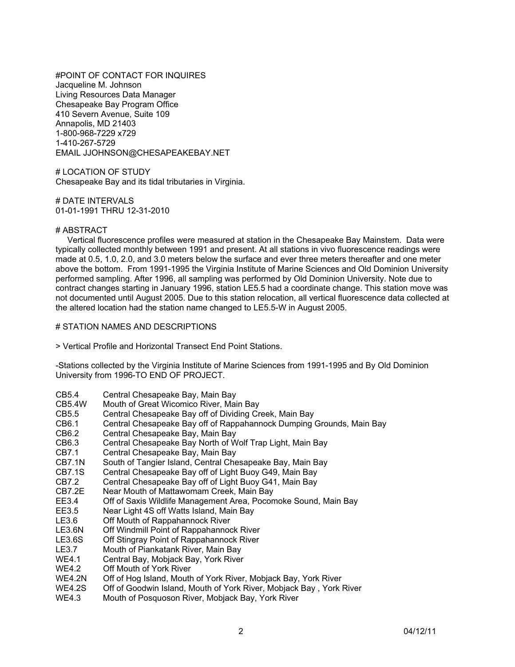#POINT OF CONTACT FOR INQUIRES Jacqueline M. Johnson Living Resources Data Manager Chesapeake Bay Program Office 410 Severn Avenue, Suite 109 Annapolis, MD 21403 1-800-968-7229 x729 1-410-267-5729 EMAIL JJOHNSON@CHESAPEAKEBAY.NET

# LOCATION OF STUDY Chesapeake Bay and its tidal tributaries in Virginia.

# DATE INTERVALS 01-01-1991 THRU 12-31-2010

#### # ABSTRACT

 Vertical fluorescence profiles were measured at station in the Chesapeake Bay Mainstem. Data were typically collected monthly between 1991 and present. At all stations in vivo fluorescence readings were made at 0.5, 1.0, 2.0, and 3.0 meters below the surface and ever three meters thereafter and one meter above the bottom. From 1991-1995 the Virginia Institute of Marine Sciences and Old Dominion University performed sampling. After 1996, all sampling was performed by Old Dominion University. Note due to contract changes starting in January 1996, station LE5.5 had a coordinate change. This station move was not documented until August 2005. Due to this station relocation, all vertical fluorescence data collected at the altered location had the station name changed to LE5.5-W in August 2005.

#### # STATION NAMES AND DESCRIPTIONS

> Vertical Profile and Horizontal Transect End Point Stations.

-Stations collected by the Virginia Institute of Marine Sciences from 1991-1995 and By Old Dominion University from 1996-TO END OF PROJECT.

- CB5.4 Central Chesapeake Bay, Main Bay
- CB5.4W Mouth of Great Wicomico River, Main Bay
- CB5.5 Central Chesapeake Bay off of Dividing Creek, Main Bay
- Central Chesapeake Bay off of Rappahannock Dumping Grounds, Main Bay
- CB6.2 Central Chesapeake Bay, Main Bay
- CB6.3 Central Chesapeake Bay North of Wolf Trap Light, Main Bay<br>CB7.1 Central Chesapeake Bay, Main Bay
- Central Chesapeake Bay, Main Bay
- CB7.1N South of Tangier Island, Central Chesapeake Bay, Main Bay
- CB7.1S Central Chesapeake Bay off of Light Buoy G49, Main Bay
- Central Chesapeake Bay off of Light Buoy G41, Main Bay
- CB7.2E Near Mouth of Mattawomam Creek, Main Bay
- EE3.4 Off of Saxis Wildlife Management Area, Pocomoke Sound, Main Bay<br>EE3.5 Near Light 4S off Watts Island. Main Bay
- Near Light 4S off Watts Island, Main Bay
- LE3.6 Off Mouth of Rappahannock River
- LE3.6N Off Windmill Point of Rappahannock River
- LE3.6S Off Stingray Point of Rappahannock River
- LE3.7 Mouth of Piankatank River, Main Bay
- WE4.1 Central Bay, Mobjack Bay, York River
- WE4.2 Off Mouth of York River<br>WE4.2N Off of Hog Island, Mouth
- WE4.2N Off of Hog Island, Mouth of York River, Mobjack Bay, York River<br>WE4.2S Off of Goodwin Island. Mouth of York River. Mobiack Bay , York I
- Off of Goodwin Island, Mouth of York River, Mobjack Bay, York River
- WE4.3 Mouth of Posquoson River, Mobjack Bay, York River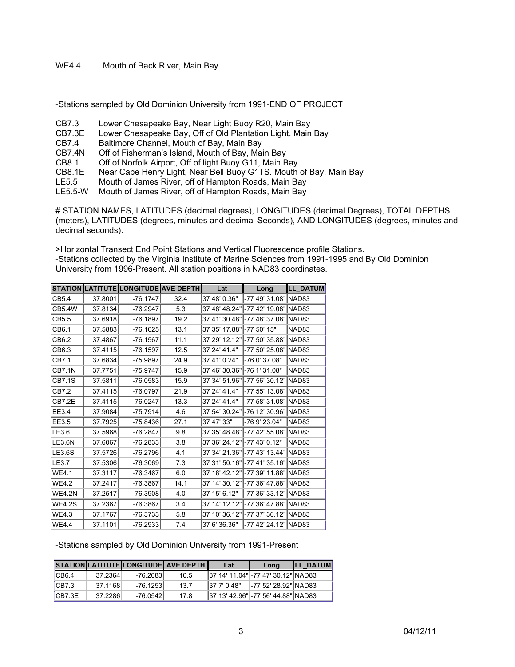WE4.4 Mouth of Back River, Main Bay

-Stations sampled by Old Dominion University from 1991-END OF PROJECT

- CB7.3 Lower Chesapeake Bay, Near Light Buoy R20, Main Bay
- CB7.3E Lower Chesapeake Bay, Off of Old Plantation Light, Main Bay
- CB7.4 Baltimore Channel, Mouth of Bay, Main Bay
- Off of Fisherman's Island, Mouth of Bay, Main Bay
- CB8.1 Off of Norfolk Airport, Off of light Buoy G11, Main Bay
- CB8.1E Near Cape Henry Light, Near Bell Buoy G1TS. Mouth of Bay, Main Bay<br>LE5.5 Mouth of James River, off of Hampton Roads, Main Bay
- Mouth of James River, off of Hampton Roads, Main Bay
- LE5.5-W Mouth of James River, off of Hampton Roads, Main Bay

# STATION NAMES, LATITUDES (decimal degrees), LONGITUDES (decimal Degrees), TOTAL DEPTHS (meters), LATITUDES (degrees, minutes and decimal Seconds), AND LONGITUDES (degrees, minutes and decimal seconds).

>Horizontal Transect End Point Stations and Vertical Fluorescence profile Stations. -Stations collected by the Virginia Institute of Marine Sciences from 1991-1995 and By Old Dominion University from 1996-Present. All station positions in NAD83 coordinates.

|               |         | STATION LATITUTE LONGITUDE AVE DEPTH |      | Lat           | Long                  | <b>LL DATUM</b>   |
|---------------|---------|--------------------------------------|------|---------------|-----------------------|-------------------|
| CB5.4         | 37.8001 | $-76.1747$                           | 32.4 | 37 48' 0.36"  | -77 49' 31.08"        | INAD83            |
| <b>CB5.4W</b> | 37.8134 | $-76.2947$                           | 5.3  | 37 48' 48.24" | -77 42' 19.08" NAD83  |                   |
| CB5.5         | 37.6918 | $-76.1897$                           | 19.2 | 37 41' 30.48" | -77 48' 37.08"        | NAD83             |
| CB6.1         | 37.5883 | $-76.1625$                           | 13.1 | 37 35' 17.88" | -77 50' 15"           | NAD <sub>83</sub> |
| CB6.2         | 37.4867 | $-76.1567$                           | 11.1 | 37 29' 12.12" | -77 50' 35.88"        | NAD83             |
| CB6.3         | 37.4115 | $-76.1597$                           | 12.5 | 37 24' 41.4"  | -77 50' 25.08"        | NAD <sub>83</sub> |
| CB7.1         | 37.6834 | $-75.9897$                           | 24.9 | 37 41' 0.24"  | -76 0' 37.08"         | NAD83             |
| <b>CB7.1N</b> | 37.7751 | $-75.9747$                           | 15.9 | 37 46' 30.36" | -76 1' 31.08"         | NAD83             |
| <b>CB7.1S</b> | 37.5811 | $-76.0583$                           | 15.9 | 37 34' 51.96" | -77 56' 30.12"        | NAD83             |
| CB7.2         | 37.4115 | $-76.0797$                           | 21.9 | 37 24' 41.4"  | -77 55' 13.08"        | NAD83             |
| CB7.2E        | 37.4115 | $-76.0247$                           | 13.3 | 37 24' 41.4"  | -77 58' 31.08"        | NAD83             |
| EE3.4         | 37.9084 | $-75.7914$                           | 4.6  | 37 54' 30.24" | -76 12' 30.96"        | NAD83             |
| EE3.5         | 37.7925 | $-75.8436$                           | 27.1 | 37 47' 33"    | -76 9' 23.04"         | NAD <sub>83</sub> |
| LE3.6         | 37.5968 | $-76.2847$                           | 9.8  | 37 35' 48.48" | -77 42' 55.08"        | NAD83             |
| <b>LE3.6N</b> | 37.6067 | $-76.2833$                           | 3.8  | 37 36' 24.12" | -77 43' 0.12"         | NAD <sub>83</sub> |
| <b>LE3.6S</b> | 37.5726 | $-76.2796$                           | 4.1  | 37 34' 21.36" | -77 43' 13.44"        | NAD83             |
| LE3.7         | 37.5306 | $-76.3069$                           | 7.3  | 37 31' 50.16" | -77 41' 35.16"        | NAD <sub>83</sub> |
| <b>WE4.1</b>  | 37.3117 | -76.3467                             | 6.0  | 37 18' 42.12" | -77 39' 11.88"        | INAD83            |
| <b>WE4.2</b>  | 37.2417 | $-76.3867$                           | 14.1 | 37 14' 30.12" | -77 36' 47.88" NAD83  |                   |
| <b>WE4.2N</b> | 37.2517 | $-76.3908$                           | 4.0  | 37 15' 6.12"  | -77 36' 33.12" NAD83  |                   |
| <b>WE4.2S</b> | 37.2367 | $-76.3867$                           | 3.4  | 37 14' 12.12" | -77 36' 47.88" NAD83  |                   |
| WE4.3         | 37.1767 | -76.3733                             | 5.8  | 37 10' 36.12" | l-77 37' 36.12" NAD83 |                   |
| <b>WE4.4</b>  | 37.1101 | $-76.2933$                           | 7.4  | 37 6' 36.36"  | -77 42' 24.12" NAD83  |                   |

-Stations sampled by Old Dominion University from 1991-Present

|        |          |            | <b>STATIONILATITUTEILONGITUDEI AVE DEPTH I</b> | Lat        | Long                                | <b>ILL DATUM</b> |
|--------|----------|------------|------------------------------------------------|------------|-------------------------------------|------------------|
| ICB6.4 | 37.23641 | -76.20831  | 10.5                                           |            | 37 14' 11.04" - 77 47' 30.12" NAD83 |                  |
| CB7.3  | 37.1168  | $-76.1253$ | 13.7                                           | 1377'0.48" | -77 52' 28.92" NAD83                |                  |
| CB7.3E | 37.2286  | $-76.0542$ | 17.8                                           |            | 37 13' 42.96" -77 56' 44.88" NAD83  |                  |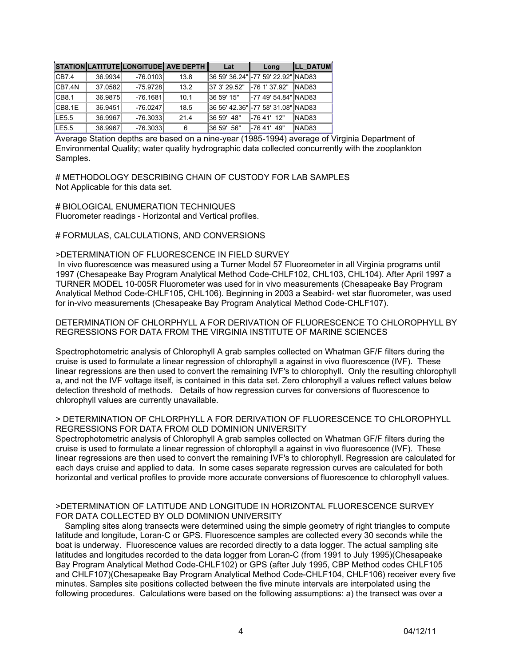|        |         |            | STATION LATITUTE LONGITUDE AVE DEPTH | Lat          | Long                                | <b>LL DATUM</b>   |
|--------|---------|------------|--------------------------------------|--------------|-------------------------------------|-------------------|
| CB7.4  | 36.9934 | $-76.0103$ | 13.8                                 |              | 36 59' 36.24" - 77 59' 22.92" NAD83 |                   |
| CB7.4N | 37.0582 | $-75.9728$ | 13.2                                 | 37 3' 29.52" | -76 1' 37.92"                       | INAD83            |
| CB8.1  | 36.9875 | $-76.1681$ | 10.1                                 | 36 59' 15"   | -77 49' 54.84" NAD83                |                   |
| CB8.1E | 36.9451 | $-76.0247$ | 18.5                                 |              | 36 56' 42.36" - 77 58' 31.08" NAD83 |                   |
| LE5.5  | 36.9967 | $-76.3033$ | 21.4                                 | 36 59' 48"   | -76 41' 12"                         | NAD <sub>83</sub> |
| LE5.5  | 36.9967 | $-76.3033$ | 6                                    | 36 59' 56"   | -76 41' 49"                         | NAD83             |

Average Station depths are based on a nine-year (1985-1994) average of Virginia Department of Environmental Quality; water quality hydrographic data collected concurrently with the zooplankton Samples.

# METHODOLOGY DESCRIBING CHAIN OF CUSTODY FOR LAB SAMPLES Not Applicable for this data set.

# BIOLOGICAL ENUMERATION TECHNIQUES Fluorometer readings - Horizontal and Vertical profiles.

# # FORMULAS, CALCULATIONS, AND CONVERSIONS

## >DETERMINATION OF FLUORESCENCE IN FIELD SURVEY

 In vivo fluorescence was measured using a Turner Model 57 Fluoreometer in all Virginia programs until 1997 (Chesapeake Bay Program Analytical Method Code-CHLF102, CHL103, CHL104). After April 1997 a TURNER MODEL 10-005R Fluorometer was used for in vivo measurements (Chesapeake Bay Program Analytical Method Code-CHLF105, CHL106). Beginning in 2003 a Seabird- wet star fluorometer, was used for in-vivo measurements (Chesapeake Bay Program Analytical Method Code-CHLF107).

#### DETERMINATION OF CHLORPHYLL A FOR DERIVATION OF FLUORESCENCE TO CHLOROPHYLL BY REGRESSIONS FOR DATA FROM THE VIRGINIA INSTITUTE OF MARINE SCIENCES

Spectrophotometric analysis of Chlorophyll A grab samples collected on Whatman GF/F filters during the cruise is used to formulate a linear regression of chlorophyll a against in vivo fluorescence (IVF). These linear regressions are then used to convert the remaining IVF's to chlorophyll. Only the resulting chlorophyll a, and not the IVF voltage itself, is contained in this data set. Zero chlorophyll a values reflect values below detection threshold of methods. Details of how regression curves for conversions of fluorescence to chlorophyll values are currently unavailable.

#### > DETERMINATION OF CHLORPHYLL A FOR DERIVATION OF FLUORESCENCE TO CHLOROPHYLL REGRESSIONS FOR DATA FROM OLD DOMINION UNIVERSITY

Spectrophotometric analysis of Chlorophyll A grab samples collected on Whatman GF/F filters during the cruise is used to formulate a linear regression of chlorophyll a against in vivo fluorescence (IVF). These linear regressions are then used to convert the remaining IVF's to chlorophyll. Regression are calculated for each days cruise and applied to data. In some cases separate regression curves are calculated for both horizontal and vertical profiles to provide more accurate conversions of fluorescence to chlorophyll values.

#### >DETERMINATION OF LATITUDE AND LONGITUDE IN HORIZONTAL FLUORESCENCE SURVEY FOR DATA COLLECTED BY OLD DOMINION UNIVERSITY

 Sampling sites along transects were determined using the simple geometry of right triangles to compute latitude and longitude, Loran-C or GPS. Fluorescence samples are collected every 30 seconds while the boat is underway. Fluorescence values are recorded directly to a data logger. The actual sampling site latitudes and longitudes recorded to the data logger from Loran-C (from 1991 to July 1995)(Chesapeake Bay Program Analytical Method Code-CHLF102) or GPS (after July 1995, CBP Method codes CHLF105 and CHLF107)(Chesapeake Bay Program Analytical Method Code-CHLF104, CHLF106) receiver every five minutes. Samples site positions collected between the five minute intervals are interpolated using the following procedures. Calculations were based on the following assumptions: a) the transect was over a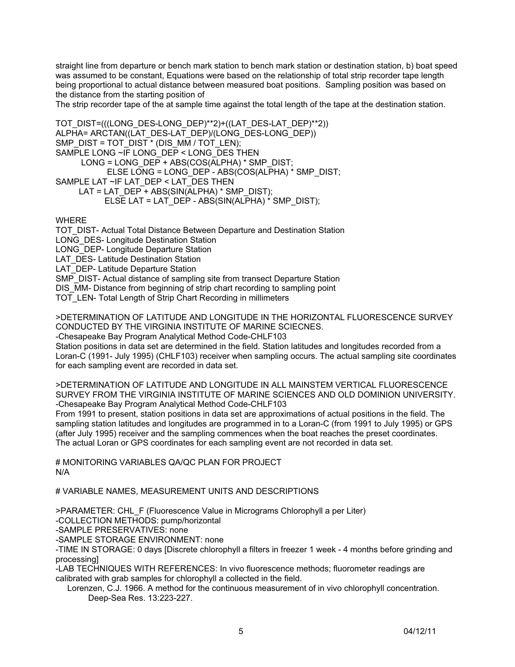straight line from departure or bench mark station to bench mark station or destination station, b) boat speed was assumed to be constant, Equations were based on the relationship of total strip recorder tape length being proportional to actual distance between measured boat positions. Sampling position was based on the distance from the starting position of

The strip recorder tape of the at sample time against the total length of the tape at the destination station.

```
TOT_DIST=(((LONG_DES-LONG_DEP)**2)+((LAT_DES-LAT_DEP)**2))
ALPHA= ARCTAN((LAT_DES-LAT_DEP)/(LONG_DES-LONG_DEP))
SMP_DIST = TOT_DIST * (DIS_MM / TOT_LEN); 
SAMPLE LONG ~IF LONG_DEP < LONG_DES THEN 
     LONG = LONG_DEP + ABS(COS(ALPHA) * SMP_DIST;
            ELSE LONG = LONG_DEP - ABS(COS(ALPHA) * SMP_DIST; 
SAMPLE LAT ~IF LAT_DEP < LAT_DES THEN 
      LAT = LAT_DEP + ABS(SIN(ALPHA) * SMP_DIST); 
          ELSE LAT = LAT DEP - ABS(SIN(ALPHA) * SMP_DIST);
WHERE
```
TOT DIST- Actual Total Distance Between Departure and Destination Station LONG DES- Longitude Destination Station LONG DEP- Longitude Departure Station LAT\_DES- Latitude Destination Station LAT DEP- Latitude Departure Station SMP\_DIST- Actual distance of sampling site from transect Departure Station DIS MM- Distance from beginning of strip chart recording to sampling point TOT LEN- Total Length of Strip Chart Recording in millimeters

>DETERMINATION OF LATITUDE AND LONGITUDE IN THE HORIZONTAL FLUORESCENCE SURVEY CONDUCTED BY THE VIRGINIA INSTITUTE OF MARINE SCIECNES.

-Chesapeake Bay Program Analytical Method Code-CHLF103

Station positions in data set are determined in the field. Station latitudes and longitudes recorded from a Loran-C (1991- July 1995) (CHLF103) receiver when sampling occurs. The actual sampling site coordinates for each sampling event are recorded in data set.

>DETERMINATION OF LATITUDE AND LONGITUDE IN ALL MAINSTEM VERTICAL FLUORESCENCE SURVEY FROM THE VIRGINIA INSTITUTE OF MARINE SCIENCES AND OLD DOMINION UNIVERSITY. -Chesapeake Bay Program Analytical Method Code-CHLF103

From 1991 to present, station positions in data set are approximations of actual positions in the field. The sampling station latitudes and longitudes are programmed in to a Loran-C (from 1991 to July 1995) or GPS (after July 1995) receiver and the sampling commences when the boat reaches the preset coordinates. The actual Loran or GPS coordinates for each sampling event are not recorded in data set.

# MONITORING VARIABLES QA/QC PLAN FOR PROJECT N/A

# VARIABLE NAMES, MEASUREMENT UNITS AND DESCRIPTIONS

>PARAMETER: CHL\_F (Fluorescence Value in Micrograms Chlorophyll a per Liter)

-COLLECTION METHODS: pump/horizontal

-SAMPLE PRESERVATIVES: none

-SAMPLE STORAGE ENVIRONMENT: none

-TIME IN STORAGE: 0 days [Discrete chlorophyll a filters in freezer 1 week - 4 months before grinding and processing]

-LAB TECHNIQUES WITH REFERENCES: In vivo fluorescence methods; fluorometer readings are calibrated with grab samples for chlorophyll a collected in the field.

 Lorenzen, C.J. 1966. A method for the continuous measurement of in vivo chlorophyll concentration. Deep-Sea Res. 13:223-227.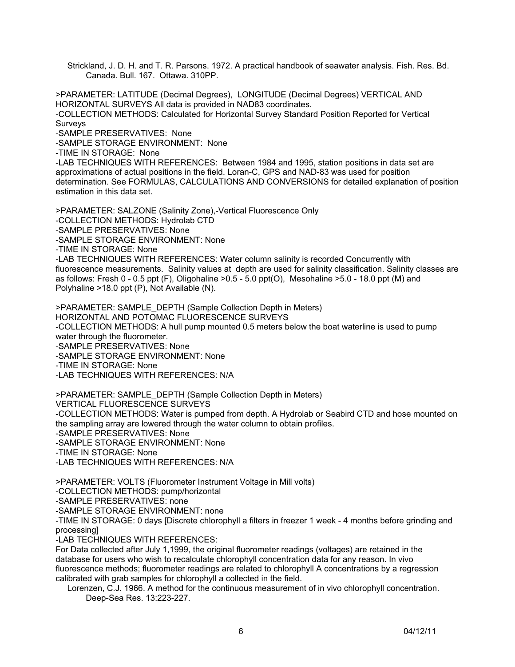Strickland, J. D. H. and T. R. Parsons. 1972. A practical handbook of seawater analysis. Fish. Res. Bd. Canada. Bull. 167. Ottawa. 310PP.

>PARAMETER: LATITUDE (Decimal Degrees), LONGITUDE (Decimal Degrees) VERTICAL AND HORIZONTAL SURVEYS All data is provided in NAD83 coordinates. -COLLECTION METHODS: Calculated for Horizontal Survey Standard Position Reported for Vertical Surveys

-SAMPLE PRESERVATIVES: None

-SAMPLE STORAGE ENVIRONMENT: None

-TIME IN STORAGE: None

-LAB TECHNIQUES WITH REFERENCES: Between 1984 and 1995, station positions in data set are approximations of actual positions in the field. Loran-C, GPS and NAD-83 was used for position determination. See FORMULAS, CALCULATIONS AND CONVERSIONS for detailed explanation of position estimation in this data set.

>PARAMETER: SALZONE (Salinity Zone),-Vertical Fluorescence Only -COLLECTION METHODS: Hydrolab CTD -SAMPLE PRESERVATIVES: None -SAMPLE STORAGE ENVIRONMENT: None -TIME IN STORAGE: None -LAB TECHNIQUES WITH REFERENCES: Water column salinity is recorded Concurrently with fluorescence measurements. Salinity values at depth are used for salinity classification. Salinity classes are

as follows: Fresh 0 - 0.5 ppt (F), Oligohaline >0.5 - 5.0 ppt(O), Mesohaline >5.0 - 18.0 ppt (M) and Polyhaline >18.0 ppt (P), Not Available (N).

>PARAMETER: SAMPLE\_DEPTH (Sample Collection Depth in Meters) HORIZONTAL AND POTOMAC FLUORESCENCE SURVEYS -COLLECTION METHODS: A hull pump mounted 0.5 meters below the boat waterline is used to pump water through the fluorometer. -SAMPLE PRESERVATIVES: None -SAMPLE STORAGE ENVIRONMENT: None -TIME IN STORAGE: None -LAB TECHNIQUES WITH REFERENCES: N/A

>PARAMETER: SAMPLE\_DEPTH (Sample Collection Depth in Meters) VERTICAL FLUORESCENCE SURVEYS -COLLECTION METHODS: Water is pumped from depth. A Hydrolab or Seabird CTD and hose mounted on the sampling array are lowered through the water column to obtain profiles. -SAMPLE PRESERVATIVES: None -SAMPLE STORAGE ENVIRONMENT: None -TIME IN STORAGE: None -LAB TECHNIQUES WITH REFERENCES: N/A

>PARAMETER: VOLTS (Fluorometer Instrument Voltage in Mill volts) -COLLECTION METHODS: pump/horizontal

-SAMPLE PRESERVATIVES: none

-SAMPLE STORAGE ENVIRONMENT: none

-TIME IN STORAGE: 0 days [Discrete chlorophyll a filters in freezer 1 week - 4 months before grinding and processing]

-LAB TECHNIQUES WITH REFERENCES:

For Data collected after July 1,1999, the original fluorometer readings (voltages) are retained in the database for users who wish to recalculate chlorophyll concentration data for any reason. In vivo fluorescence methods; fluorometer readings are related to chlorophyll A concentrations by a regression calibrated with grab samples for chlorophyll a collected in the field.

 Lorenzen, C.J. 1966. A method for the continuous measurement of in vivo chlorophyll concentration. Deep-Sea Res. 13:223-227.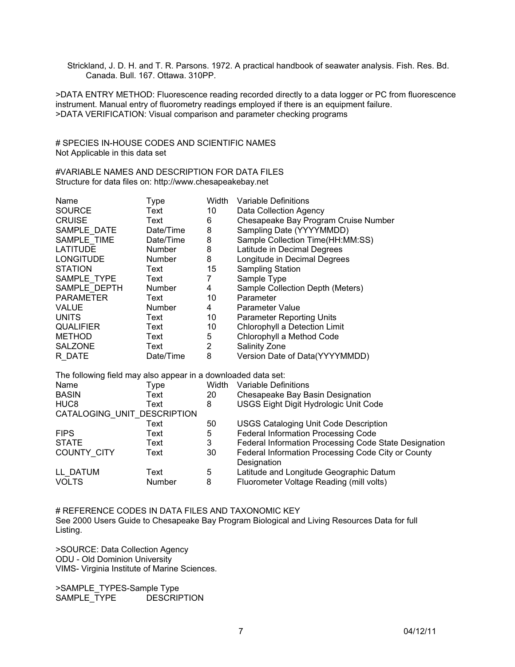Strickland, J. D. H. and T. R. Parsons. 1972. A practical handbook of seawater analysis. Fish. Res. Bd. Canada. Bull. 167. Ottawa. 310PP.

>DATA ENTRY METHOD: Fluorescence reading recorded directly to a data logger or PC from fluorescence instrument. Manual entry of fluorometry readings employed if there is an equipment failure. >DATA VERIFICATION: Visual comparison and parameter checking programs

# SPECIES IN-HOUSE CODES AND SCIENTIFIC NAMES Not Applicable in this data set

#VARIABLE NAMES AND DESCRIPTION FOR DATA FILES Structure for data files on: http://www.chesapeakebay.net

| Name                                                          | Type          | Width          | Variable Definitions                                              |  |  |  |
|---------------------------------------------------------------|---------------|----------------|-------------------------------------------------------------------|--|--|--|
| <b>SOURCE</b>                                                 | Text          | 10             | Data Collection Agency                                            |  |  |  |
| <b>CRUISE</b>                                                 | Text          | 6              | Chesapeake Bay Program Cruise Number                              |  |  |  |
| SAMPLE_DATE                                                   | Date/Time     | 8              | Sampling Date (YYYYMMDD)                                          |  |  |  |
| SAMPLE TIME                                                   | Date/Time     | 8              | Sample Collection Time(HH:MM:SS)                                  |  |  |  |
| <b>LATITUDE</b>                                               | <b>Number</b> | 8              | Latitude in Decimal Degrees                                       |  |  |  |
| <b>LONGITUDE</b>                                              | <b>Number</b> | 8              | Longitude in Decimal Degrees                                      |  |  |  |
| <b>STATION</b>                                                | Text          | 15             | <b>Sampling Station</b>                                           |  |  |  |
| SAMPLE TYPE                                                   | Text          | $\overline{7}$ | Sample Type                                                       |  |  |  |
| SAMPLE DEPTH                                                  | <b>Number</b> | 4              | Sample Collection Depth (Meters)                                  |  |  |  |
| <b>PARAMETER</b>                                              | Text          | 10             | Parameter                                                         |  |  |  |
| <b>VALUE</b>                                                  | <b>Number</b> | 4              | Parameter Value                                                   |  |  |  |
| <b>UNITS</b>                                                  | Text          | 10             | <b>Parameter Reporting Units</b>                                  |  |  |  |
| <b>QUALIFIER</b>                                              | Text          | 10             | Chlorophyll a Detection Limit                                     |  |  |  |
| <b>METHOD</b>                                                 | Text          | 5              | Chlorophyll a Method Code                                         |  |  |  |
| <b>SALZONE</b>                                                | Text          | $\overline{2}$ | Salinity Zone                                                     |  |  |  |
| R DATE                                                        | Date/Time     | 8              | Version Date of Data(YYYYMMDD)                                    |  |  |  |
| The following field may also appear in a downloaded data set: |               |                |                                                                   |  |  |  |
| Name                                                          | Type          | Width          | Variable Definitions                                              |  |  |  |
| <b>BASIN</b>                                                  | Text          | 20             | Chesapeake Bay Basin Designation                                  |  |  |  |
| HUC <sub>8</sub>                                              | Text          | 8              | USGS Eight Digit Hydrologic Unit Code                             |  |  |  |
| CATALOGING_UNIT_DESCRIPTION                                   |               |                |                                                                   |  |  |  |
|                                                               | Text          | 50             | <b>USGS Cataloging Unit Code Description</b>                      |  |  |  |
| <b>FIPS</b>                                                   | Text          | 5              | <b>Federal Information Processing Code</b>                        |  |  |  |
| <b>STATE</b>                                                  | Text          | 3              | Federal Information Processing Code State Designation             |  |  |  |
| COUNTY CITY                                                   | Text          | 30             | Federal Information Processing Code City or County<br>Designation |  |  |  |
| LL DATUM                                                      | Text          | 5              | Latitude and Longitude Geographic Datum                           |  |  |  |
| <b>VOLTS</b>                                                  | Number        | 8              | Fluorometer Voltage Reading (mill volts)                          |  |  |  |

# REFERENCE CODES IN DATA FILES AND TAXONOMIC KEY See 2000 Users Guide to Chesapeake Bay Program Biological and Living Resources Data for full Listing.

>SOURCE: Data Collection Agency ODU - Old Dominion University VIMS- Virginia Institute of Marine Sciences.

>SAMPLE\_TYPES-Sample Type<br>SAMPLE\_TYPE DESCRIPTION SAMPLE\_TYPE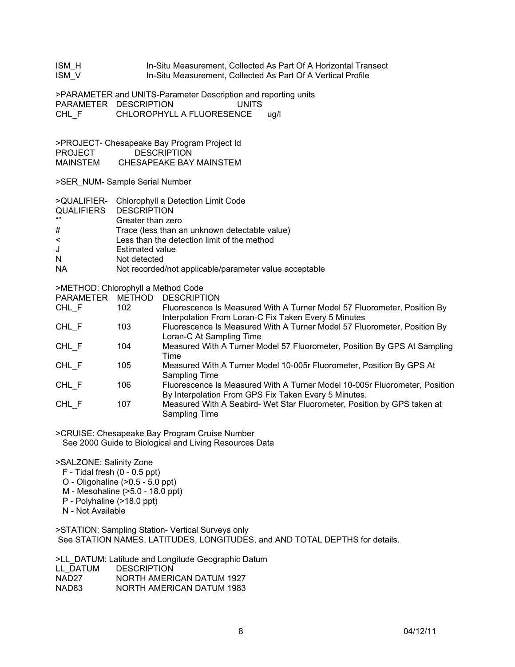| ISM H<br>ISM V                                                  | In-Situ Measurement, Collected As Part Of A Horizontal Transect<br>In-Situ Measurement, Collected As Part Of A Vertical Profile              |                                                                                                                                                                                                          |  |  |  |  |
|-----------------------------------------------------------------|----------------------------------------------------------------------------------------------------------------------------------------------|----------------------------------------------------------------------------------------------------------------------------------------------------------------------------------------------------------|--|--|--|--|
| CHL F                                                           | >PARAMETER and UNITS-Parameter Description and reporting units<br>PARAMETER DESCRIPTION<br><b>UNITS</b><br>CHLOROPHYLL A FLUORESENCE<br>ug/l |                                                                                                                                                                                                          |  |  |  |  |
| <b>PROJECT</b><br>MAINSTEM                                      |                                                                                                                                              | >PROJECT- Chesapeake Bay Program Project Id<br><b>DESCRIPTION</b><br>CHESAPEAKE BAY MAINSTEM                                                                                                             |  |  |  |  |
| >SER_NUM- Sample Serial Number                                  |                                                                                                                                              |                                                                                                                                                                                                          |  |  |  |  |
| <b>QUALIFIERS</b><br>"<br>#<br><<br>J<br>Ν<br>NA                | <b>DESCRIPTION</b><br>Greater than zero<br><b>Estimated value</b><br>Not detected                                                            | >QUALIFIER- Chlorophyll a Detection Limit Code<br>Trace (less than an unknown detectable value)<br>Less than the detection limit of the method<br>Not recorded/not applicable/parameter value acceptable |  |  |  |  |
| >METHOD: Chlorophyll a Method Code<br>PARAMETER METHOD<br>CHL F | 102                                                                                                                                          | <b>DESCRIPTION</b><br>Fluorescence Is Measured With A Turner Model 57 Fluorometer, Position By<br>Interpolation From Loran-C Fix Taken Every 5 Minutes                                                   |  |  |  |  |
| CHL F                                                           | 103                                                                                                                                          | Fluorescence Is Measured With A Turner Model 57 Fluorometer, Position By<br>Loran-C At Sampling Time                                                                                                     |  |  |  |  |
| CHL F                                                           | 104                                                                                                                                          | Measured With A Turner Model 57 Fluorometer, Position By GPS At Sampling<br>Time                                                                                                                         |  |  |  |  |
| CHL_F                                                           | 105                                                                                                                                          | Measured With A Turner Model 10-005r Fluorometer, Position By GPS At<br><b>Sampling Time</b>                                                                                                             |  |  |  |  |
| CHL_F                                                           | 106                                                                                                                                          | Fluorescence Is Measured With A Turner Model 10-005r Fluorometer, Position<br>By Interpolation From GPS Fix Taken Every 5 Minutes.                                                                       |  |  |  |  |
| CHL_F                                                           | 107                                                                                                                                          | Measured With A Seabird- Wet Star Fluorometer, Position by GPS taken at<br><b>Sampling Time</b>                                                                                                          |  |  |  |  |
|                                                                 |                                                                                                                                              |                                                                                                                                                                                                          |  |  |  |  |

>CRUISE: Chesapeake Bay Program Cruise Number See 2000 Guide to Biological and Living Resources Data

#### >SALZONE: Salinity Zone

- $F$  Tidal fresh (0 0.5 ppt)
- O Oligohaline (>0.5 5.0 ppt)
- M Mesohaline (>5.0 18.0 ppt)
- P Polyhaline (>18.0 ppt)
- N Not Available

>STATION: Sampling Station- Vertical Surveys only See STATION NAMES, LATITUDES, LONGITUDES, and AND TOTAL DEPTHS for details.

>LL\_DATUM: Latitude and Longitude Geographic Datum

| LL DATUM | <b>DESCRIPTION</b>        |
|----------|---------------------------|
| NAD27    | NORTH AMERICAN DATUM 1927 |
| NAD83    | NORTH AMERICAN DATUM 1983 |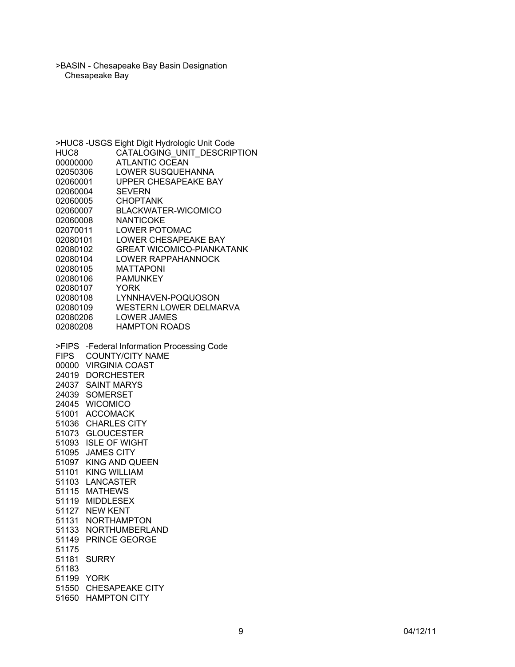>BASIN - Chesapeake Bay Basin Designation Chesapeake Bay

>HUC8 -USGS Eight Digit Hydrologic Unit Code HUC8 CATALOGING\_UNIT\_DESCRIPTION 00000000 ATLANTIC OCEAN<br>02050306 LOWER SUSQUEH LOWER SUSQUEHANNA 02060001 UPPER CHESAPEAKE BAY 02060004 SEVERN 02060005 CHOPTANK 02060007 BLACKWATER-WICOMICO 02060008 NANTICOKE 02070011 LOWER POTOMAC 02080101 LOWER CHESAPEAKE BAY 02080102 GREAT WICOMICO-PIANKATANK 02080104 LOWER RAPPAHANNOCK 02080105 MATTAPONI 02080106 PAMUNKEY<br>02080107 YORK 02080107 02080108 LYNNHAVEN-POQUOSON 02080109 WESTERN LOWER DELMARVA 02080206 LOWER JAMES 02080208 HAMPTON ROADS >FIPS -Federal Information Processing Code FIPS COUNTY/CITY NAME 00000 VIRGINIA COAST 24019 DORCHESTER 24037 SAINT MARYS 24039 SOMERSET 24045 WICOMICO 51001 ACCOMACK 51036 CHARLES CITY 51073 GLOUCESTER 51093 ISLE OF WIGHT 51095 JAMES CITY 51097 KING AND QUEEN 51101 KING WILLIAM 51103 LANCASTER 51115 MATHEWS 51119 MIDDLESEX 51127 NEW KENT 51131 NORTHAMPTON 51133 NORTHUMBERLAND 51149 PRINCE GEORGE 51175 51181 SURRY 51183 51199 YORK 51550 CHESAPEAKE CITY 51650 HAMPTON CITY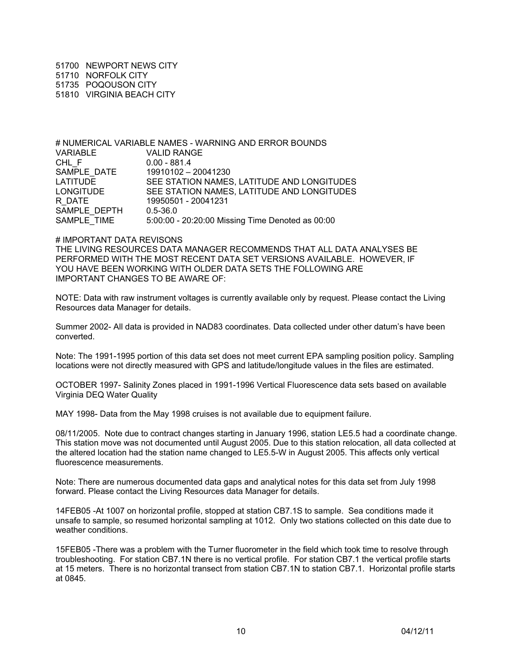51700 NEWPORT NEWS CITY 51710 NORFOLK CITY 51735 POQOUSON CITY 51810 VIRGINIA BEACH CITY

# NUMERICAL VARIABLE NAMES - WARNING AND ERROR BOUNDS VARIABLE VALID RANGE CHL\_F 0.00 - 881.4<br>SAMPLE DATE 19910102 -19910102 – 20041230 LATITUDE SEE STATION NAMES, LATITUDE AND LONGITUDES<br>LONGITUDE SEE STATION NAMES, LATITUDE AND LONGITUDES SEE STATION NAMES, LATITUDE AND LONGITUDES R\_DATE 19950501 - 20041231 SAMPLE\_DEPTH 0.5-36.0 SAMPLE\_TIME  $5:00:00 - 20:20:00$  Missing Time Denoted as 00:00

#### # IMPORTANT DATA REVISONS

THE LIVING RESOURCES DATA MANAGER RECOMMENDS THAT ALL DATA ANALYSES BE PERFORMED WITH THE MOST RECENT DATA SET VERSIONS AVAILABLE. HOWEVER, IF YOU HAVE BEEN WORKING WITH OLDER DATA SETS THE FOLLOWING ARE IMPORTANT CHANGES TO BE AWARE OF:

NOTE: Data with raw instrument voltages is currently available only by request. Please contact the Living Resources data Manager for details.

Summer 2002- All data is provided in NAD83 coordinates. Data collected under other datum's have been converted.

Note: The 1991-1995 portion of this data set does not meet current EPA sampling position policy. Sampling locations were not directly measured with GPS and latitude/longitude values in the files are estimated.

OCTOBER 1997- Salinity Zones placed in 1991-1996 Vertical Fluorescence data sets based on available Virginia DEQ Water Quality

MAY 1998- Data from the May 1998 cruises is not available due to equipment failure.

08/11/2005. Note due to contract changes starting in January 1996, station LE5.5 had a coordinate change. This station move was not documented until August 2005. Due to this station relocation, all data collected at the altered location had the station name changed to LE5.5-W in August 2005. This affects only vertical fluorescence measurements.

Note: There are numerous documented data gaps and analytical notes for this data set from July 1998 forward. Please contact the Living Resources data Manager for details.

14FEB05 -At 1007 on horizontal profile, stopped at station CB7.1S to sample. Sea conditions made it unsafe to sample, so resumed horizontal sampling at 1012. Only two stations collected on this date due to weather conditions.

15FEB05 -There was a problem with the Turner fluorometer in the field which took time to resolve through troubleshooting. For station CB7.1N there is no vertical profile. For station CB7.1 the vertical profile starts at 15 meters. There is no horizontal transect from station CB7.1N to station CB7.1. Horizontal profile starts at 0845.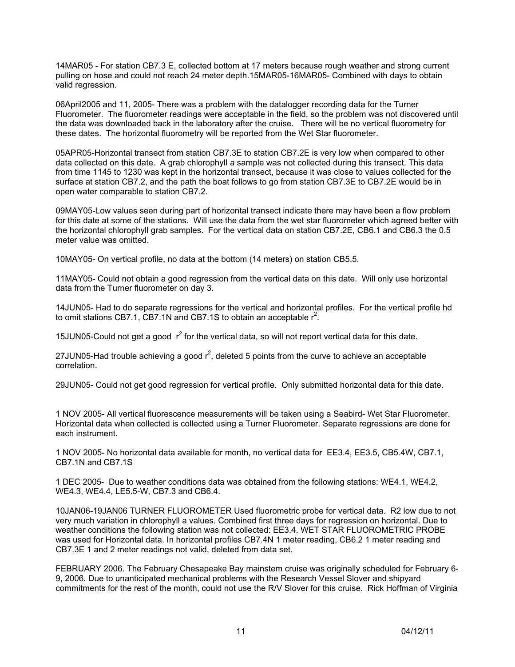14MAR05 - For station CB7.3 E, collected bottom at 17 meters because rough weather and strong current pulling on hose and could not reach 24 meter depth.15MAR05-16MAR05- Combined with days to obtain valid regression.

06April2005 and 11, 2005- There was a problem with the datalogger recording data for the Turner Fluorometer. The fluorometer readings were acceptable in the field, so the problem was not discovered until the data was downloaded back in the laboratory after the cruise. There will be no vertical fluorometry for these dates. The horizontal fluorometry will be reported from the Wet Star fluorometer.

05APR05-Horizontal transect from station CB7.3E to station CB7.2E is very low when compared to other data collected on this date. A grab chlorophyll *a* sample was not collected during this transect. This data from time 1145 to 1230 was kept in the horizontal transect, because it was close to values collected for the surface at station CB7.2, and the path the boat follows to go from station CB7.3E to CB7.2E would be in open water comparable to station CB7.2.

09MAY05-Low values seen during part of horizontal transect indicate there may have been a flow problem for this date at some of the stations. Will use the data from the wet star fluorometer which agreed better with the horizontal chlorophyll grab samples. For the vertical data on station CB7.2E, CB6.1 and CB6.3 the 0.5 meter value was omitted.

10MAY05- On vertical profile, no data at the bottom (14 meters) on station CB5.5.

11MAY05- Could not obtain a good regression from the vertical data on this date. Will only use horizontal data from the Turner fluorometer on day 3.

14JUN05- Had to do separate regressions for the vertical and horizontal profiles. For the vertical profile hd to omit stations CB7.1, CB7.1N and CB7.1S to obtain an acceptable  $r^2$ .

15JUN05-Could not get a good  $r^2$  for the vertical data, so will not report vertical data for this date.

27JUN05-Had trouble achieving a good  $r^2$ , deleted 5 points from the curve to achieve an acceptable correlation.

29JUN05- Could not get good regression for vertical profile. Only submitted horizontal data for this date.

1 NOV 2005- All vertical fluorescence measurements will be taken using a Seabird- Wet Star Fluorometer. Horizontal data when collected is collected using a Turner Fluorometer. Separate regressions are done for each instrument.

1 NOV 2005- No horizontal data available for month, no vertical data for EE3.4, EE3.5, CB5.4W, CB7.1, CB7.1N and CB7.1S

1 DEC 2005- Due to weather conditions data was obtained from the following stations: WE4.1, WE4.2, WE4.3, WE4.4, LE5.5-W, CB7.3 and CB6.4.

10JAN06-19JAN06 TURNER FLUOROMETER Used fluorometric probe for vertical data. R2 low due to not very much variation in chlorophyll a values. Combined first three days for regression on horizontal. Due to weather conditions the following station was not collected: EE3.4. WET STAR FLUOROMETRIC PROBE was used for Horizontal data. In horizontal profiles CB7.4N 1 meter reading, CB6.2 1 meter reading and CB7.3E 1 and 2 meter readings not valid, deleted from data set.

FEBRUARY 2006. The February Chesapeake Bay mainstem cruise was originally scheduled for February 6- 9, 2006. Due to unanticipated mechanical problems with the Research Vessel Slover and shipyard commitments for the rest of the month, could not use the R/V Slover for this cruise. Rick Hoffman of Virginia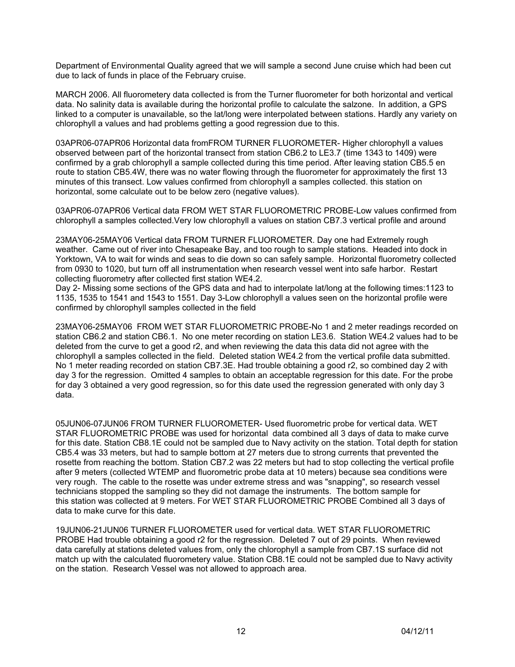Department of Environmental Quality agreed that we will sample a second June cruise which had been cut due to lack of funds in place of the February cruise.

MARCH 2006. All fluorometery data collected is from the Turner fluorometer for both horizontal and vertical data. No salinity data is available during the horizontal profile to calculate the salzone. In addition, a GPS linked to a computer is unavailable, so the lat/long were interpolated between stations. Hardly any variety on chlorophyll a values and had problems getting a good regression due to this.

03APR06-07APR06 Horizontal data fromFROM TURNER FLUOROMETER- Higher chlorophyll a values observed between part of the horizontal transect from station CB6.2 to LE3.7 (time 1343 to 1409) were confirmed by a grab chlorophyll a sample collected during this time period. After leaving station CB5.5 en route to station CB5.4W, there was no water flowing through the fluorometer for approximately the first 13 minutes of this transect. Low values confirmed from chlorophyll a samples collected. this station on horizontal, some calculate out to be below zero (negative values).

03APR06-07APR06 Vertical data FROM WET STAR FLUOROMETRIC PROBE-Low values confirmed from chlorophyll a samples collected.Very low chlorophyll a values on station CB7.3 vertical profile and around

23MAY06-25MAY06 Vertical data FROM TURNER FLUOROMETER. Day one had Extremely rough weather. Came out of river into Chesapeake Bay, and too rough to sample stations. Headed into dock in Yorktown, VA to wait for winds and seas to die down so can safely sample. Horizontal fluorometry collected from 0930 to 1020, but turn off all instrumentation when research vessel went into safe harbor. Restart collecting fluorometry after collected first station WE4.2.

Day 2- Missing some sections of the GPS data and had to interpolate lat/long at the following times:1123 to 1135, 1535 to 1541 and 1543 to 1551. Day 3-Low chlorophyll a values seen on the horizontal profile were confirmed by chlorophyll samples collected in the field

23MAY06-25MAY06 FROM WET STAR FLUOROMETRIC PROBE-No 1 and 2 meter readings recorded on station CB6.2 and station CB6.1. No one meter recording on station LE3.6. Station WE4.2 values had to be deleted from the curve to get a good r2, and when reviewing the data this data did not agree with the chlorophyll a samples collected in the field. Deleted station WE4.2 from the vertical profile data submitted. No 1 meter reading recorded on station CB7.3E. Had trouble obtaining a good r2, so combined day 2 with day 3 for the regression. Omitted 4 samples to obtain an acceptable regression for this date. For the probe for day 3 obtained a very good regression, so for this date used the regression generated with only day 3 data.

05JUN06-07JUN06 FROM TURNER FLUOROMETER- Used fluorometric probe for vertical data. WET STAR FLUOROMETRIC PROBE was used for horizontal data combined all 3 days of data to make curve for this date. Station CB8.1E could not be sampled due to Navy activity on the station. Total depth for station CB5.4 was 33 meters, but had to sample bottom at 27 meters due to strong currents that prevented the rosette from reaching the bottom. Station CB7.2 was 22 meters but had to stop collecting the vertical profile after 9 meters (collected WTEMP and fluorometric probe data at 10 meters) because sea conditions were very rough. The cable to the rosette was under extreme stress and was "snapping", so research vessel technicians stopped the sampling so they did not damage the instruments. The bottom sample for this station was collected at 9 meters. For WET STAR FLUOROMETRIC PROBE Combined all 3 days of data to make curve for this date.

19JUN06-21JUN06 TURNER FLUOROMETER used for vertical data. WET STAR FLUOROMETRIC PROBE Had trouble obtaining a good r2 for the regression. Deleted 7 out of 29 points. When reviewed data carefully at stations deleted values from, only the chlorophyll a sample from CB7.1S surface did not match up with the calculated fluorometery value. Station CB8.1E could not be sampled due to Navy activity on the station. Research Vessel was not allowed to approach area.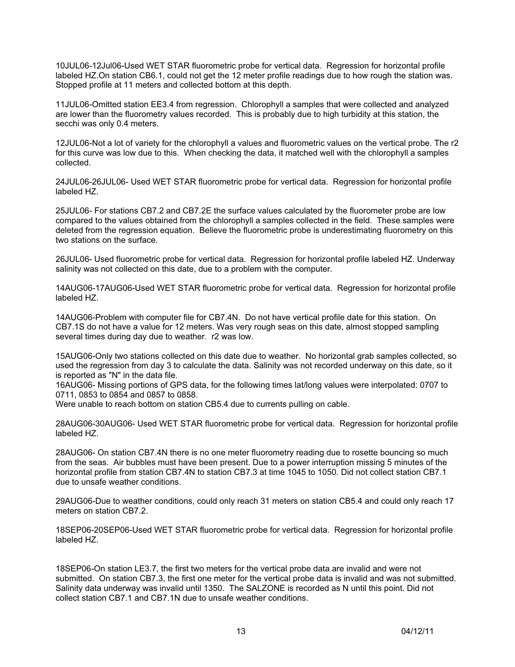10JUL06-12Jul06-Used WET STAR fluorometric probe for vertical data. Regression for horizontal profile labeled HZ.On station CB6.1, could not get the 12 meter profile readings due to how rough the station was. Stopped profile at 11 meters and collected bottom at this depth.

11JUL06-Omitted station EE3.4 from regression. Chlorophyll a samples that were collected and analyzed are lower than the fluorometry values recorded. This is probably due to high turbidity at this station, the secchi was only 0.4 meters.

12JUL06-Not a lot of variety for the chlorophyll a values and fluorometric values on the vertical probe. The r2 for this curve was low due to this. When checking the data, it matched well with the chlorophyll a samples collected.

24JUL06-26JUL06- Used WET STAR fluorometric probe for vertical data. Regression for horizontal profile labeled HZ.

25JUL06- For stations CB7.2 and CB7.2E the surface values calculated by the fluorometer probe are low compared to the values obtained from the chlorophyll a samples collected in the field. These samples were deleted from the regression equation. Believe the fluorometric probe is underestimating fluorometry on this two stations on the surface.

26JUL06- Used fluorometric probe for vertical data. Regression for horizontal profile labeled HZ. Underway salinity was not collected on this date, due to a problem with the computer.

14AUG06-17AUG06-Used WET STAR fluorometric probe for vertical data. Regression for horizontal profile labeled HZ.

14AUG06-Problem with computer file for CB7.4N. Do not have vertical profile date for this station. On CB7.1S do not have a value for 12 meters. Was very rough seas on this date, almost stopped sampling several times during day due to weather. r2 was low.

15AUG06-Only two stations collected on this date due to weather. No horizontal grab samples collected, so used the regression from day 3 to calculate the data. Salinity was not recorded underway on this date, so it is reported as "N" in the data file.

16AUG06- Missing portions of GPS data, for the following times lat/long values were interpolated: 0707 to 0711, 0853 to 0854 and 0857 to 0858.

Were unable to reach bottom on station CB5.4 due to currents pulling on cable.

28AUG06-30AUG06- Used WET STAR fluorometric probe for vertical data. Regression for horizontal profile labeled HZ.

28AUG06- On station CB7.4N there is no one meter fluorometry reading due to rosette bouncing so much from the seas. Air bubbles must have been present. Due to a power interruption missing 5 minutes of the horizontal profile from station CB7.4N to station CB7.3 at time 1045 to 1050. Did not collect station CB7.1 due to unsafe weather conditions.

29AUG06-Due to weather conditions, could only reach 31 meters on station CB5.4 and could only reach 17 meters on station CB7.2.

18SEP06-20SEP06-Used WET STAR fluorometric probe for vertical data. Regression for horizontal profile labeled HZ.

18SEP06-On station LE3.7, the first two meters for the vertical probe data are invalid and were not submitted. On station CB7.3, the first one meter for the vertical probe data is invalid and was not submitted. Salinity data underway was invalid until 1350. The SALZONE is recorded as N until this point. Did not collect station CB7.1 and CB7.1N due to unsafe weather conditions.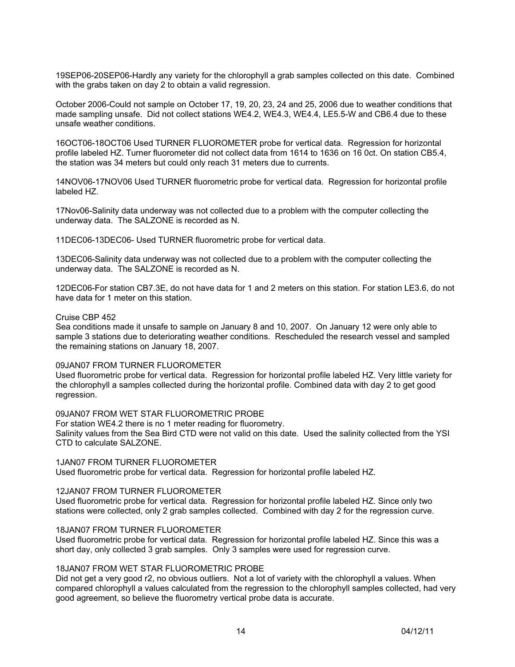19SEP06-20SEP06-Hardly any variety for the chlorophyll a grab samples collected on this date. Combined with the grabs taken on day 2 to obtain a valid regression.

October 2006-Could not sample on October 17, 19, 20, 23, 24 and 25, 2006 due to weather conditions that made sampling unsafe. Did not collect stations WE4.2, WE4.3, WE4.4, LE5.5-W and CB6.4 due to these unsafe weather conditions.

16OCT06-18OCT06 Used TURNER FLUOROMETER probe for vertical data. Regression for horizontal profile labeled HZ. Turner fluorometer did not collect data from 1614 to 1636 on 16 0ct. On station CB5.4, the station was 34 meters but could only reach 31 meters due to currents.

14NOV06-17NOV06 Used TURNER fluorometric probe for vertical data. Regression for horizontal profile labeled HZ.

17Nov06-Salinity data underway was not collected due to a problem with the computer collecting the underway data. The SALZONE is recorded as N.

11DEC06-13DEC06- Used TURNER fluorometric probe for vertical data.

13DEC06-Salinity data underway was not collected due to a problem with the computer collecting the underway data. The SALZONE is recorded as N.

12DEC06-For station CB7.3E, do not have data for 1 and 2 meters on this station. For station LE3.6, do not have data for 1 meter on this station.

#### Cruise CBP 452

Sea conditions made it unsafe to sample on January 8 and 10, 2007. On January 12 were only able to sample 3 stations due to deteriorating weather conditions. Rescheduled the research vessel and sampled the remaining stations on January 18, 2007.

#### 09JAN07 FROM TURNER FLUOROMETER

Used fluorometric probe for vertical data. Regression for horizontal profile labeled HZ. Very little variety for the chlorophyll a samples collected during the horizontal profile. Combined data with day 2 to get good regression.

## 09JAN07 FROM WET STAR FLUOROMETRIC PROBE

For station WE4.2 there is no 1 meter reading for fluorometry. Salinity values from the Sea Bird CTD were not valid on this date. Used the salinity collected from the YSI CTD to calculate SALZONE.

1JAN07 FROM TURNER FLUOROMETER Used fluorometric probe for vertical data. Regression for horizontal profile labeled HZ.

#### 12JAN07 FROM TURNER FLUOROMETER

Used fluorometric probe for vertical data. Regression for horizontal profile labeled HZ. Since only two stations were collected, only 2 grab samples collected. Combined with day 2 for the regression curve.

## 18JAN07 FROM TURNER FLUOROMETER

Used fluorometric probe for vertical data. Regression for horizontal profile labeled HZ. Since this was a short day, only collected 3 grab samples. Only 3 samples were used for regression curve.

#### 18JAN07 FROM WET STAR FLUOROMETRIC PROBE

Did not get a very good r2, no obvious outliers. Not a lot of variety with the chlorophyll a values. When compared chlorophyll a values calculated from the regression to the chlorophyll samples collected, had very good agreement, so believe the fluorometry vertical probe data is accurate.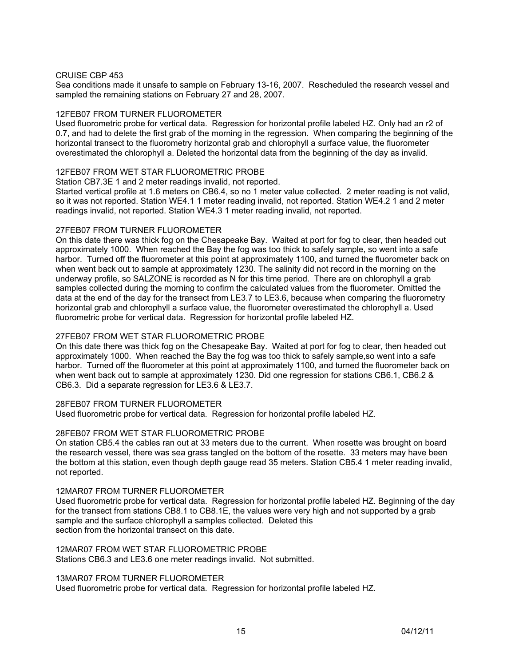## CRUISE CBP 453

Sea conditions made it unsafe to sample on February 13-16, 2007. Rescheduled the research vessel and sampled the remaining stations on February 27 and 28, 2007.

#### 12FEB07 FROM TURNER FLUOROMETER

Used fluorometric probe for vertical data. Regression for horizontal profile labeled HZ. Only had an r2 of 0.7, and had to delete the first grab of the morning in the regression. When comparing the beginning of the horizontal transect to the fluorometry horizontal grab and chlorophyll a surface value, the fluorometer overestimated the chlorophyll a. Deleted the horizontal data from the beginning of the day as invalid.

## 12FEB07 FROM WET STAR FLUOROMETRIC PROBE

Station CB7.3E 1 and 2 meter readings invalid, not reported.

Started vertical profile at 1.6 meters on CB6.4, so no 1 meter value collected. 2 meter reading is not valid, so it was not reported. Station WE4.1 1 meter reading invalid, not reported. Station WE4.2 1 and 2 meter readings invalid, not reported. Station WE4.3 1 meter reading invalid, not reported.

## 27FEB07 FROM TURNER FLUOROMETER

On this date there was thick fog on the Chesapeake Bay. Waited at port for fog to clear, then headed out approximately 1000. When reached the Bay the fog was too thick to safely sample, so went into a safe harbor. Turned off the fluorometer at this point at approximately 1100, and turned the fluorometer back on when went back out to sample at approximately 1230. The salinity did not record in the morning on the underway profile, so SALZONE is recorded as N for this time period. There are on chlorophyll a grab samples collected during the morning to confirm the calculated values from the fluorometer. Omitted the data at the end of the day for the transect from LE3.7 to LE3.6, because when comparing the fluorometry horizontal grab and chlorophyll a surface value, the fluorometer overestimated the chlorophyll a. Used fluorometric probe for vertical data. Regression for horizontal profile labeled HZ.

## 27FEB07 FROM WET STAR FLUOROMETRIC PROBE

On this date there was thick fog on the Chesapeake Bay. Waited at port for fog to clear, then headed out approximately 1000. When reached the Bay the fog was too thick to safely sample,so went into a safe harbor. Turned off the fluorometer at this point at approximately 1100, and turned the fluorometer back on when went back out to sample at approximately 1230. Did one regression for stations CB6.1, CB6.2 & CB6.3. Did a separate regression for LE3.6 & LE3.7.

28FEB07 FROM TURNER FLUOROMETER

Used fluorometric probe for vertical data. Regression for horizontal profile labeled HZ.

## 28FEB07 FROM WET STAR FLUOROMETRIC PROBE

On station CB5.4 the cables ran out at 33 meters due to the current. When rosette was brought on board the research vessel, there was sea grass tangled on the bottom of the rosette. 33 meters may have been the bottom at this station, even though depth gauge read 35 meters. Station CB5.4 1 meter reading invalid, not reported.

## 12MAR07 FROM TURNER FLUOROMETER

Used fluorometric probe for vertical data. Regression for horizontal profile labeled HZ. Beginning of the day for the transect from stations CB8.1 to CB8.1E, the values were very high and not supported by a grab sample and the surface chlorophyll a samples collected. Deleted this section from the horizontal transect on this date.

## 12MAR07 FROM WET STAR FLUOROMETRIC PROBE

Stations CB6.3 and LE3.6 one meter readings invalid. Not submitted.

# 13MAR07 FROM TURNER FLUOROMETER

Used fluorometric probe for vertical data. Regression for horizontal profile labeled HZ.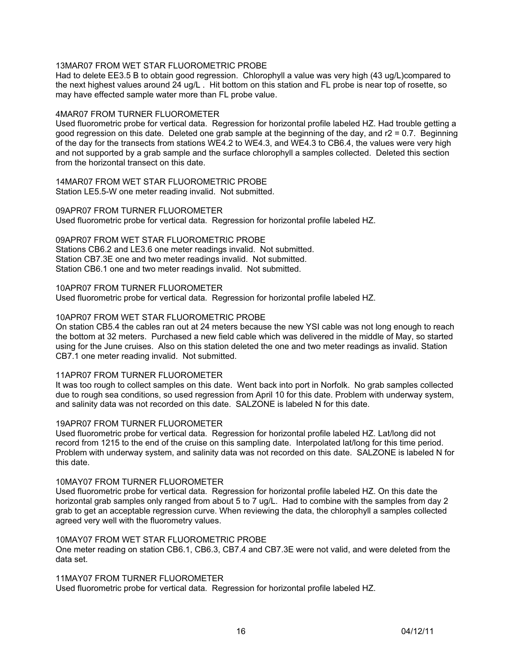# 13MAR07 FROM WET STAR FLUOROMETRIC PROBE

Had to delete EE3.5 B to obtain good regression. Chlorophyll a value was very high (43 ug/L)compared to the next highest values around 24 ug/L . Hit bottom on this station and FL probe is near top of rosette, so may have effected sample water more than FL probe value.

## 4MAR07 FROM TURNER FLUOROMETER

Used fluorometric probe for vertical data. Regression for horizontal profile labeled HZ. Had trouble getting a good regression on this date. Deleted one grab sample at the beginning of the day, and  $r2 = 0.7$ . Beginning of the day for the transects from stations WE4.2 to WE4.3, and WE4.3 to CB6.4, the values were very high and not supported by a grab sample and the surface chlorophyll a samples collected. Deleted this section from the horizontal transect on this date.

14MAR07 FROM WET STAR FLUOROMETRIC PROBE Station LE5.5-W one meter reading invalid. Not submitted.

09APR07 FROM TURNER FLUOROMETER Used fluorometric probe for vertical data. Regression for horizontal profile labeled HZ.

09APR07 FROM WET STAR FLUOROMETRIC PROBE Stations CB6.2 and LE3.6 one meter readings invalid. Not submitted. Station CB7.3E one and two meter readings invalid. Not submitted. Station CB6.1 one and two meter readings invalid. Not submitted.

10APR07 FROM TURNER FLUOROMETER Used fluorometric probe for vertical data. Regression for horizontal profile labeled HZ.

## 10APR07 FROM WET STAR FLUOROMETRIC PROBE

On station CB5.4 the cables ran out at 24 meters because the new YSI cable was not long enough to reach the bottom at 32 meters. Purchased a new field cable which was delivered in the middle of May, so started using for the June cruises. Also on this station deleted the one and two meter readings as invalid. Station CB7.1 one meter reading invalid. Not submitted.

# 11APR07 FROM TURNER FLUOROMETER

It was too rough to collect samples on this date. Went back into port in Norfolk. No grab samples collected due to rough sea conditions, so used regression from April 10 for this date. Problem with underway system, and salinity data was not recorded on this date. SALZONE is labeled N for this date.

## 19APR07 FROM TURNER FLUOROMETER

Used fluorometric probe for vertical data. Regression for horizontal profile labeled HZ. Lat/long did not record from 1215 to the end of the cruise on this sampling date. Interpolated lat/long for this time period. Problem with underway system, and salinity data was not recorded on this date. SALZONE is labeled N for this date.

# 10MAY07 FROM TURNER FLUOROMETER

Used fluorometric probe for vertical data. Regression for horizontal profile labeled HZ. On this date the horizontal grab samples only ranged from about 5 to 7 ug/L. Had to combine with the samples from day 2 grab to get an acceptable regression curve. When reviewing the data, the chlorophyll a samples collected agreed very well with the fluorometry values.

## 10MAY07 FROM WET STAR FLUOROMETRIC PROBE

One meter reading on station CB6.1, CB6.3, CB7.4 and CB7.3E were not valid, and were deleted from the data set.

11MAY07 FROM TURNER FLUOROMETER

Used fluorometric probe for vertical data. Regression for horizontal profile labeled HZ.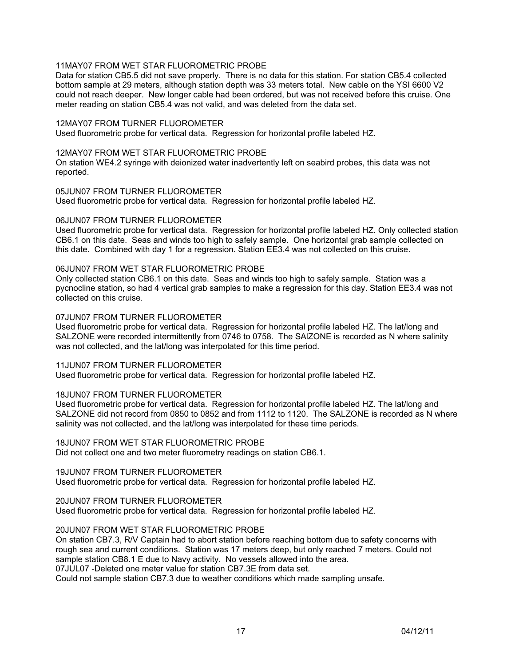## 11MAY07 FROM WET STAR FLUOROMETRIC PROBE

Data for station CB5.5 did not save properly. There is no data for this station. For station CB5.4 collected bottom sample at 29 meters, although station depth was 33 meters total. New cable on the YSI 6600 V2 could not reach deeper. New longer cable had been ordered, but was not received before this cruise. One meter reading on station CB5.4 was not valid, and was deleted from the data set.

#### 12MAY07 FROM TURNER FLUOROMETER

Used fluorometric probe for vertical data. Regression for horizontal profile labeled HZ.

#### 12MAY07 FROM WET STAR FLUOROMETRIC PROBE

On station WE4.2 syringe with deionized water inadvertently left on seabird probes, this data was not reported.

#### 05JUN07 FROM TURNER FLUOROMETER

Used fluorometric probe for vertical data. Regression for horizontal profile labeled HZ.

#### 06JUN07 FROM TURNER FLUOROMETER

Used fluorometric probe for vertical data. Regression for horizontal profile labeled HZ. Only collected station CB6.1 on this date. Seas and winds too high to safely sample. One horizontal grab sample collected on this date. Combined with day 1 for a regression. Station EE3.4 was not collected on this cruise.

## 06JUN07 FROM WET STAR FLUOROMETRIC PROBE

Only collected station CB6.1 on this date. Seas and winds too high to safely sample. Station was a pycnocline station, so had 4 vertical grab samples to make a regression for this day. Station EE3.4 was not collected on this cruise.

#### 07JUN07 FROM TURNER FLUOROMETER

Used fluorometric probe for vertical data. Regression for horizontal profile labeled HZ. The lat/long and SALZONE were recorded intermittently from 0746 to 0758. The SAlZONE is recorded as N where salinity was not collected, and the lat/long was interpolated for this time period.

#### 11JUN07 FROM TURNER FLUOROMETER Used fluorometric probe for vertical data. Regression for horizontal profile labeled HZ.

## 18JUN07 FROM TURNER FLUOROMETER

Used fluorometric probe for vertical data. Regression for horizontal profile labeled HZ. The lat/long and SALZONE did not record from 0850 to 0852 and from 1112 to 1120. The SALZONE is recorded as N where salinity was not collected, and the lat/long was interpolated for these time periods.

#### 18JUN07 FROM WET STAR FLUOROMETRIC PROBE

Did not collect one and two meter fluorometry readings on station CB6.1.

## 19JUN07 FROM TURNER FLUOROMETER

Used fluorometric probe for vertical data. Regression for horizontal profile labeled HZ.

## 20JUN07 FROM TURNER FLUOROMETER

Used fluorometric probe for vertical data. Regression for horizontal profile labeled HZ.

## 20JUN07 FROM WET STAR FLUOROMETRIC PROBE

On station CB7.3, R/V Captain had to abort station before reaching bottom due to safety concerns with rough sea and current conditions. Station was 17 meters deep, but only reached 7 meters. Could not sample station CB8.1 E due to Navy activity. No vessels allowed into the area. 07JUL07 -Deleted one meter value for station CB7.3E from data set.

Could not sample station CB7.3 due to weather conditions which made sampling unsafe.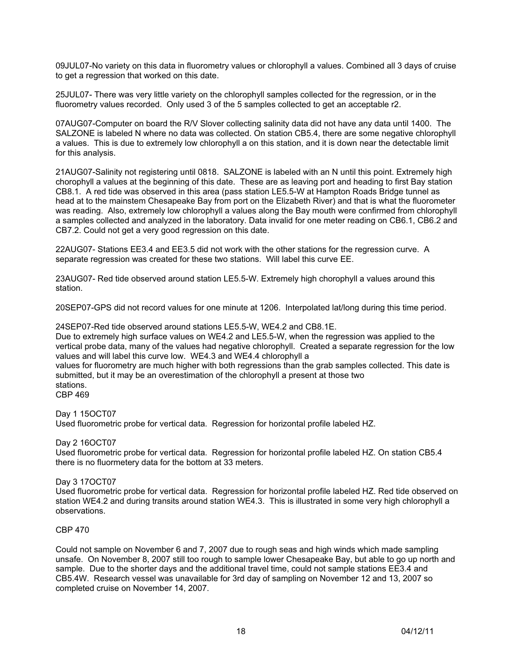09JUL07-No variety on this data in fluorometry values or chlorophyll a values. Combined all 3 days of cruise to get a regression that worked on this date.

25JUL07- There was very little variety on the chlorophyll samples collected for the regression, or in the fluorometry values recorded. Only used 3 of the 5 samples collected to get an acceptable r2.

07AUG07-Computer on board the R/V Slover collecting salinity data did not have any data until 1400. The SALZONE is labeled N where no data was collected. On station CB5.4, there are some negative chlorophyll a values. This is due to extremely low chlorophyll a on this station, and it is down near the detectable limit for this analysis.

21AUG07-Salinity not registering until 0818. SALZONE is labeled with an N until this point. Extremely high chorophyll a values at the beginning of this date. These are as leaving port and heading to first Bay station CB8.1. A red tide was observed in this area (pass station LE5.5-W at Hampton Roads Bridge tunnel as head at to the mainstem Chesapeake Bay from port on the Elizabeth River) and that is what the fluorometer was reading. Also, extremely low chlorophyll a values along the Bay mouth were confirmed from chlorophyll a samples collected and analyzed in the laboratory. Data invalid for one meter reading on CB6.1, CB6.2 and CB7.2. Could not get a very good regression on this date.

22AUG07- Stations EE3.4 and EE3.5 did not work with the other stations for the regression curve. A separate regression was created for these two stations. Will label this curve EE.

23AUG07- Red tide observed around station LE5.5-W. Extremely high chorophyll a values around this station.

20SEP07-GPS did not record values for one minute at 1206. Interpolated lat/long during this time period.

24SEP07-Red tide observed around stations LE5.5-W, WE4.2 and CB8.1E.

Due to extremely high surface values on WE4.2 and LE5.5-W, when the regression was applied to the vertical probe data, many of the values had negative chlorophyll. Created a separate regression for the low values and will label this curve low. WE4.3 and WE4.4 chlorophyll a

values for fluorometry are much higher with both regressions than the grab samples collected. This date is submitted, but it may be an overestimation of the chlorophyll a present at those two stations. CBP 469

# Day 1 15OCT07

Used fluorometric probe for vertical data. Regression for horizontal profile labeled HZ.

## Day 2 16OCT07

Used fluorometric probe for vertical data. Regression for horizontal profile labeled HZ. On station CB5.4 there is no fluormetery data for the bottom at 33 meters.

## Day 3 17OCT07

Used fluorometric probe for vertical data. Regression for horizontal profile labeled HZ. Red tide observed on station WE4.2 and during transits around station WE4.3. This is illustrated in some very high chlorophyll a observations.

## CBP 470

Could not sample on November 6 and 7, 2007 due to rough seas and high winds which made sampling unsafe. On November 8, 2007 still too rough to sample lower Chesapeake Bay, but able to go up north and sample. Due to the shorter days and the additional travel time, could not sample stations EE3.4 and CB5.4W. Research vessel was unavailable for 3rd day of sampling on November 12 and 13, 2007 so completed cruise on November 14, 2007.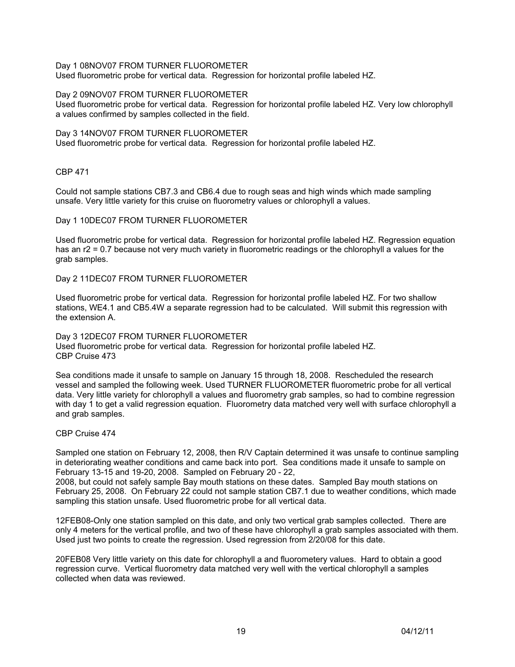Day 1 08NOV07 FROM TURNER FLUOROMETER

Used fluorometric probe for vertical data. Regression for horizontal profile labeled HZ.

#### Day 2 09NOV07 FROM TURNER FLUOROMETER

Used fluorometric probe for vertical data. Regression for horizontal profile labeled HZ. Very low chlorophyll a values confirmed by samples collected in the field.

#### Day 3 14NOV07 FROM TURNER FLUOROMETER

Used fluorometric probe for vertical data. Regression for horizontal profile labeled HZ.

CBP 471

Could not sample stations CB7.3 and CB6.4 due to rough seas and high winds which made sampling unsafe. Very little variety for this cruise on fluorometry values or chlorophyll a values.

#### Day 1 10DEC07 FROM TURNER FLUOROMETER

Used fluorometric probe for vertical data. Regression for horizontal profile labeled HZ. Regression equation has an r2 = 0.7 because not very much variety in fluorometric readings or the chlorophyll a values for the grab samples.

# Day 2 11DEC07 FROM TURNER FLUOROMETER

Used fluorometric probe for vertical data. Regression for horizontal profile labeled HZ. For two shallow stations, WE4.1 and CB5.4W a separate regression had to be calculated. Will submit this regression with the extension A.

## Day 3 12DEC07 FROM TURNER FLUOROMETER Used fluorometric probe for vertical data. Regression for horizontal profile labeled HZ. CBP Cruise 473

Sea conditions made it unsafe to sample on January 15 through 18, 2008. Rescheduled the research vessel and sampled the following week. Used TURNER FLUOROMETER fluorometric probe for all vertical data. Very little variety for chlorophyll a values and fluorometry grab samples, so had to combine regression with day 1 to get a valid regression equation. Fluorometry data matched very well with surface chlorophyll a and grab samples.

## CBP Cruise 474

Sampled one station on February 12, 2008, then R/V Captain determined it was unsafe to continue sampling in deteriorating weather conditions and came back into port. Sea conditions made it unsafe to sample on February 13-15 and 19-20, 2008. Sampled on February 20 - 22,

2008, but could not safely sample Bay mouth stations on these dates. Sampled Bay mouth stations on February 25, 2008. On February 22 could not sample station CB7.1 due to weather conditions, which made sampling this station unsafe. Used fluorometric probe for all vertical data.

12FEB08-Only one station sampled on this date, and only two vertical grab samples collected. There are only 4 meters for the vertical profile, and two of these have chlorophyll a grab samples associated with them. Used just two points to create the regression. Used regression from 2/20/08 for this date.

20FEB08 Very little variety on this date for chlorophyll a and fluorometery values. Hard to obtain a good regression curve. Vertical fluorometry data matched very well with the vertical chlorophyll a samples collected when data was reviewed.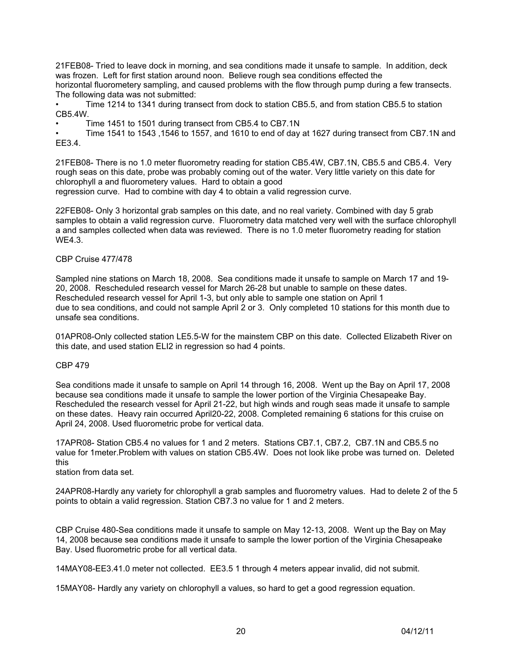21FEB08- Tried to leave dock in morning, and sea conditions made it unsafe to sample. In addition, deck was frozen. Left for first station around noon. Believe rough sea conditions effected the

horizontal fluorometery sampling, and caused problems with the flow through pump during a few transects. The following data was not submitted:

• Time 1214 to 1341 during transect from dock to station CB5.5, and from station CB5.5 to station CB5.4W.

• Time 1451 to 1501 during transect from CB5.4 to CB7.1N

• Time 1541 to 1543 ,1546 to 1557, and 1610 to end of day at 1627 during transect from CB7.1N and EE3.4.

21FEB08- There is no 1.0 meter fluorometry reading for station CB5.4W, CB7.1N, CB5.5 and CB5.4. Very rough seas on this date, probe was probably coming out of the water. Very little variety on this date for chlorophyll a and fluorometery values. Hard to obtain a good

regression curve. Had to combine with day 4 to obtain a valid regression curve.

22FEB08- Only 3 horizontal grab samples on this date, and no real variety. Combined with day 5 grab samples to obtain a valid regression curve. Fluorometry data matched very well with the surface chlorophyll a and samples collected when data was reviewed. There is no 1.0 meter fluorometry reading for station WE4.3.

## CBP Cruise 477/478

Sampled nine stations on March 18, 2008. Sea conditions made it unsafe to sample on March 17 and 19- 20, 2008. Rescheduled research vessel for March 26-28 but unable to sample on these dates. Rescheduled research vessel for April 1-3, but only able to sample one station on April 1 due to sea conditions, and could not sample April 2 or 3. Only completed 10 stations for this month due to unsafe sea conditions.

01APR08-Only collected station LE5.5-W for the mainstem CBP on this date. Collected Elizabeth River on this date, and used station ELI2 in regression so had 4 points.

## CBP 479

Sea conditions made it unsafe to sample on April 14 through 16, 2008. Went up the Bay on April 17, 2008 because sea conditions made it unsafe to sample the lower portion of the Virginia Chesapeake Bay. Rescheduled the research vessel for April 21-22, but high winds and rough seas made it unsafe to sample on these dates. Heavy rain occurred April20-22, 2008. Completed remaining 6 stations for this cruise on April 24, 2008. Used fluorometric probe for vertical data.

17APR08- Station CB5.4 no values for 1 and 2 meters. Stations CB7.1, CB7.2, CB7.1N and CB5.5 no value for 1meter.Problem with values on station CB5.4W. Does not look like probe was turned on. Deleted this

station from data set.

24APR08-Hardly any variety for chlorophyll a grab samples and fluorometry values. Had to delete 2 of the 5 points to obtain a valid regression. Station CB7.3 no value for 1 and 2 meters.

CBP Cruise 480-Sea conditions made it unsafe to sample on May 12-13, 2008. Went up the Bay on May 14, 2008 because sea conditions made it unsafe to sample the lower portion of the Virginia Chesapeake Bay. Used fluorometric probe for all vertical data.

14MAY08-EE3.41.0 meter not collected. EE3.5 1 through 4 meters appear invalid, did not submit.

15MAY08- Hardly any variety on chlorophyll a values, so hard to get a good regression equation.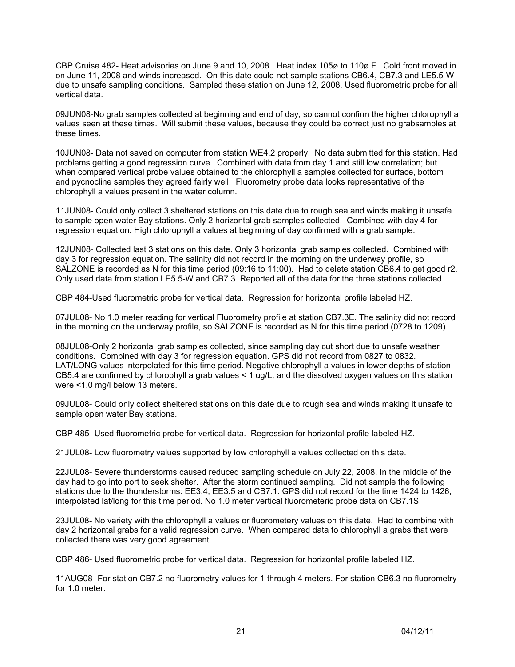CBP Cruise 482- Heat advisories on June 9 and 10, 2008. Heat index 105ø to 110ø F. Cold front moved in on June 11, 2008 and winds increased. On this date could not sample stations CB6.4, CB7.3 and LE5.5-W due to unsafe sampling conditions. Sampled these station on June 12, 2008. Used fluorometric probe for all vertical data.

09JUN08-No grab samples collected at beginning and end of day, so cannot confirm the higher chlorophyll a values seen at these times. Will submit these values, because they could be correct just no grabsamples at these times.

10JUN08- Data not saved on computer from station WE4.2 properly. No data submitted for this station. Had problems getting a good regression curve. Combined with data from day 1 and still low correlation; but when compared vertical probe values obtained to the chlorophyll a samples collected for surface, bottom and pycnocline samples they agreed fairly well. Fluorometry probe data looks representative of the chlorophyll a values present in the water column.

11JUN08- Could only collect 3 sheltered stations on this date due to rough sea and winds making it unsafe to sample open water Bay stations. Only 2 horizontal grab samples collected. Combined with day 4 for regression equation. High chlorophyll a values at beginning of day confirmed with a grab sample.

12JUN08- Collected last 3 stations on this date. Only 3 horizontal grab samples collected. Combined with day 3 for regression equation. The salinity did not record in the morning on the underway profile, so SALZONE is recorded as N for this time period (09:16 to 11:00). Had to delete station CB6.4 to get good r2. Only used data from station LE5.5-W and CB7.3. Reported all of the data for the three stations collected.

CBP 484-Used fluorometric probe for vertical data. Regression for horizontal profile labeled HZ.

07JUL08- No 1.0 meter reading for vertical Fluorometry profile at station CB7.3E. The salinity did not record in the morning on the underway profile, so SALZONE is recorded as N for this time period (0728 to 1209).

08JUL08-Only 2 horizontal grab samples collected, since sampling day cut short due to unsafe weather conditions. Combined with day 3 for regression equation. GPS did not record from 0827 to 0832. LAT/LONG values interpolated for this time period. Negative chlorophyll a values in lower depths of station CB5.4 are confirmed by chlorophyll a grab values < 1 ug/L, and the dissolved oxygen values on this station were <1.0 mg/l below 13 meters.

09JUL08- Could only collect sheltered stations on this date due to rough sea and winds making it unsafe to sample open water Bay stations.

CBP 485- Used fluorometric probe for vertical data. Regression for horizontal profile labeled HZ.

21JUL08- Low fluorometry values supported by low chlorophyll a values collected on this date.

22JUL08- Severe thunderstorms caused reduced sampling schedule on July 22, 2008. In the middle of the day had to go into port to seek shelter. After the storm continued sampling. Did not sample the following stations due to the thunderstorms: EE3.4, EE3.5 and CB7.1. GPS did not record for the time 1424 to 1426, interpolated lat/long for this time period. No 1.0 meter vertical fluorometeric probe data on CB7.1S.

23JUL08- No variety with the chlorophyll a values or fluorometery values on this date. Had to combine with day 2 horizontal grabs for a valid regression curve. When compared data to chlorophyll a grabs that were collected there was very good agreement.

CBP 486- Used fluorometric probe for vertical data. Regression for horizontal profile labeled HZ.

11AUG08- For station CB7.2 no fluorometry values for 1 through 4 meters. For station CB6.3 no fluorometry for 1.0 meter.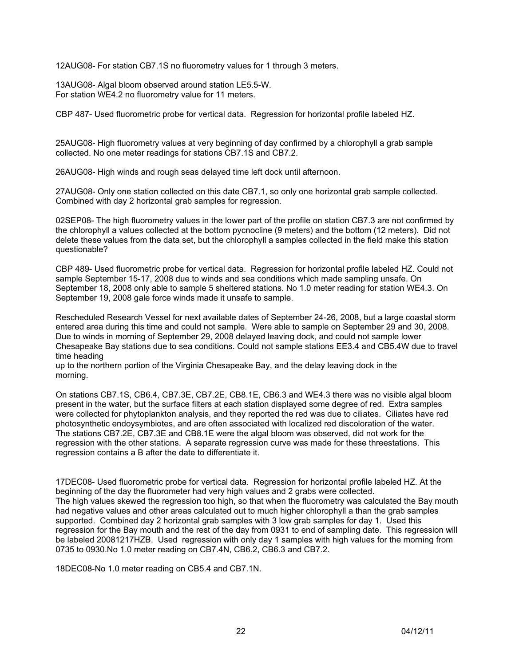12AUG08- For station CB7.1S no fluorometry values for 1 through 3 meters.

13AUG08- Algal bloom observed around station LE5.5-W. For station WE4.2 no fluorometry value for 11 meters.

CBP 487- Used fluorometric probe for vertical data. Regression for horizontal profile labeled HZ.

25AUG08- High fluorometry values at very beginning of day confirmed by a chlorophyll a grab sample collected. No one meter readings for stations CB7.1S and CB7.2.

26AUG08- High winds and rough seas delayed time left dock until afternoon.

27AUG08- Only one station collected on this date CB7.1, so only one horizontal grab sample collected. Combined with day 2 horizontal grab samples for regression.

02SEP08- The high fluorometry values in the lower part of the profile on station CB7.3 are not confirmed by the chlorophyll a values collected at the bottom pycnocline (9 meters) and the bottom (12 meters). Did not delete these values from the data set, but the chlorophyll a samples collected in the field make this station questionable?

CBP 489- Used fluorometric probe for vertical data. Regression for horizontal profile labeled HZ. Could not sample September 15-17, 2008 due to winds and sea conditions which made sampling unsafe. On September 18, 2008 only able to sample 5 sheltered stations. No 1.0 meter reading for station WE4.3. On September 19, 2008 gale force winds made it unsafe to sample.

Rescheduled Research Vessel for next available dates of September 24-26, 2008, but a large coastal storm entered area during this time and could not sample. Were able to sample on September 29 and 30, 2008. Due to winds in morning of September 29, 2008 delayed leaving dock, and could not sample lower Chesapeake Bay stations due to sea conditions. Could not sample stations EE3.4 and CB5.4W due to travel time heading

up to the northern portion of the Virginia Chesapeake Bay, and the delay leaving dock in the morning.

On stations CB7.1S, CB6.4, CB7.3E, CB7.2E, CB8.1E, CB6.3 and WE4.3 there was no visible algal bloom present in the water, but the surface filters at each station displayed some degree of red. Extra samples were collected for phytoplankton analysis, and they reported the red was due to ciliates. Ciliates have red photosynthetic endoysymbiotes, and are often associated with localized red discoloration of the water. The stations CB7.2E, CB7.3E and CB8.1E were the algal bloom was observed, did not work for the regression with the other stations. A separate regression curve was made for these threestations. This regression contains a B after the date to differentiate it.

17DEC08- Used fluorometric probe for vertical data. Regression for horizontal profile labeled HZ. At the beginning of the day the fluorometer had very high values and 2 grabs were collected. The high values skewed the regression too high, so that when the fluorometry was calculated the Bay mouth had negative values and other areas calculated out to much higher chlorophyll a than the grab samples supported. Combined day 2 horizontal grab samples with 3 low grab samples for day 1. Used this regression for the Bay mouth and the rest of the day from 0931 to end of sampling date. This regression will be labeled 20081217HZB. Used regression with only day 1 samples with high values for the morning from 0735 to 0930.No 1.0 meter reading on CB7.4N, CB6.2, CB6.3 and CB7.2.

18DEC08-No 1.0 meter reading on CB5.4 and CB7.1N.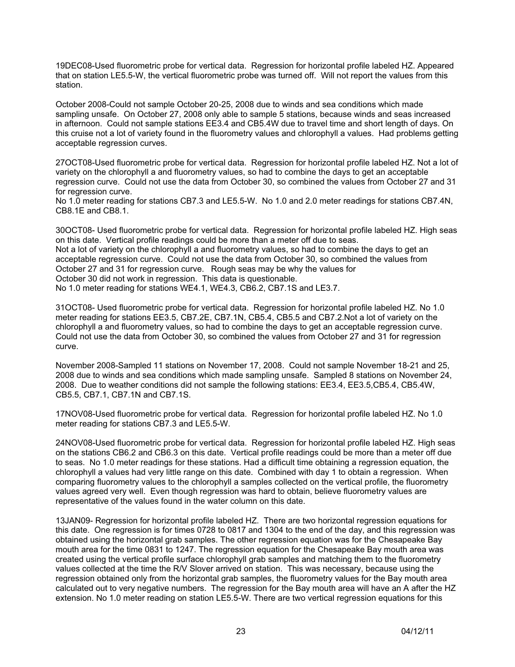19DEC08-Used fluorometric probe for vertical data. Regression for horizontal profile labeled HZ. Appeared that on station LE5.5-W, the vertical fluorometric probe was turned off. Will not report the values from this station.

October 2008-Could not sample October 20-25, 2008 due to winds and sea conditions which made sampling unsafe. On October 27, 2008 only able to sample 5 stations, because winds and seas increased in afternoon. Could not sample stations EE3.4 and CB5.4W due to travel time and short length of days. On this cruise not a lot of variety found in the fluorometry values and chlorophyll a values. Had problems getting acceptable regression curves.

27OCT08-Used fluorometric probe for vertical data. Regression for horizontal profile labeled HZ. Not a lot of variety on the chlorophyll a and fluorometry values, so had to combine the days to get an acceptable regression curve. Could not use the data from October 30, so combined the values from October 27 and 31 for regression curve.

No 1.0 meter reading for stations CB7.3 and LE5.5-W. No 1.0 and 2.0 meter readings for stations CB7.4N, CB8.1E and CB8.1.

30OCT08- Used fluorometric probe for vertical data. Regression for horizontal profile labeled HZ. High seas on this date. Vertical profile readings could be more than a meter off due to seas.

Not a lot of variety on the chlorophyll a and fluorometry values, so had to combine the days to get an acceptable regression curve. Could not use the data from October 30, so combined the values from October 27 and 31 for regression curve. Rough seas may be why the values for October 30 did not work in regression. This data is questionable. No 1.0 meter reading for stations WE4.1, WE4.3, CB6.2, CB7.1S and LE3.7.

31OCT08- Used fluorometric probe for vertical data. Regression for horizontal profile labeled HZ. No 1.0 meter reading for stations EE3.5, CB7.2E, CB7.1N, CB5.4, CB5.5 and CB7.2.Not a lot of variety on the chlorophyll a and fluorometry values, so had to combine the days to get an acceptable regression curve. Could not use the data from October 30, so combined the values from October 27 and 31 for regression curve.

November 2008-Sampled 11 stations on November 17, 2008. Could not sample November 18-21 and 25, 2008 due to winds and sea conditions which made sampling unsafe. Sampled 8 stations on November 24, 2008. Due to weather conditions did not sample the following stations: EE3.4, EE3.5,CB5.4, CB5.4W, CB5.5, CB7.1, CB7.1N and CB7.1S.

17NOV08-Used fluorometric probe for vertical data. Regression for horizontal profile labeled HZ. No 1.0 meter reading for stations CB7.3 and LE5.5-W.

24NOV08-Used fluorometric probe for vertical data. Regression for horizontal profile labeled HZ. High seas on the stations CB6.2 and CB6.3 on this date. Vertical profile readings could be more than a meter off due to seas. No 1.0 meter readings for these stations. Had a difficult time obtaining a regression equation, the chlorophyll a values had very little range on this date. Combined with day 1 to obtain a regression. When comparing fluorometry values to the chlorophyll a samples collected on the vertical profile, the fluorometry values agreed very well. Even though regression was hard to obtain, believe fluorometry values are representative of the values found in the water column on this date.

13JAN09- Regression for horizontal profile labeled HZ. There are two horizontal regression equations for this date. One regression is for times 0728 to 0817 and 1304 to the end of the day, and this regression was obtained using the horizontal grab samples. The other regression equation was for the Chesapeake Bay mouth area for the time 0831 to 1247. The regression equation for the Chesapeake Bay mouth area was created using the vertical profile surface chlorophyll grab samples and matching them to the fluorometry values collected at the time the R/V Slover arrived on station. This was necessary, because using the regression obtained only from the horizontal grab samples, the fluorometry values for the Bay mouth area calculated out to very negative numbers. The regression for the Bay mouth area will have an A after the HZ extension. No 1.0 meter reading on station LE5.5-W. There are two vertical regression equations for this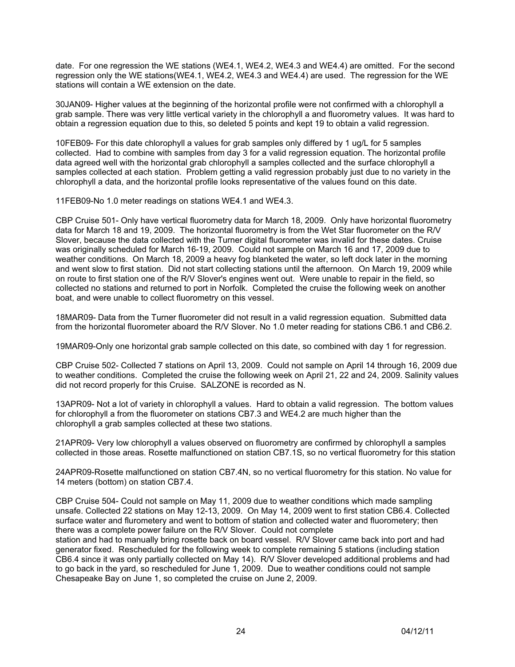date. For one regression the WE stations (WE4.1, WE4.2, WE4.3 and WE4.4) are omitted. For the second regression only the WE stations(WE4.1, WE4.2, WE4.3 and WE4.4) are used. The regression for the WE stations will contain a WE extension on the date.

30JAN09- Higher values at the beginning of the horizontal profile were not confirmed with a chlorophyll a grab sample. There was very little vertical variety in the chlorophyll a and fluorometry values. It was hard to obtain a regression equation due to this, so deleted 5 points and kept 19 to obtain a valid regression.

10FEB09- For this date chlorophyll a values for grab samples only differed by 1 ug/L for 5 samples collected. Had to combine with samples from day 3 for a valid regression equation. The horizontal profile data agreed well with the horizontal grab chlorophyll a samples collected and the surface chlorophyll a samples collected at each station. Problem getting a valid regression probably just due to no variety in the chlorophyll a data, and the horizontal profile looks representative of the values found on this date.

11FEB09-No 1.0 meter readings on stations WE4.1 and WE4.3.

CBP Cruise 501- Only have vertical fluorometry data for March 18, 2009. Only have horizontal fluorometry data for March 18 and 19, 2009. The horizontal fluorometry is from the Wet Star fluorometer on the R/V Slover, because the data collected with the Turner digital fluorometer was invalid for these dates. Cruise was originally scheduled for March 16-19, 2009. Could not sample on March 16 and 17, 2009 due to weather conditions. On March 18, 2009 a heavy fog blanketed the water, so left dock later in the morning and went slow to first station. Did not start collecting stations until the afternoon. On March 19, 2009 while on route to first station one of the R/V Slover's engines went out. Were unable to repair in the field, so collected no stations and returned to port in Norfolk. Completed the cruise the following week on another boat, and were unable to collect fluorometry on this vessel.

18MAR09- Data from the Turner fluorometer did not result in a valid regression equation. Submitted data from the horizontal fluorometer aboard the R/V Slover. No 1.0 meter reading for stations CB6.1 and CB6.2.

19MAR09-Only one horizontal grab sample collected on this date, so combined with day 1 for regression.

CBP Cruise 502- Collected 7 stations on April 13, 2009. Could not sample on April 14 through 16, 2009 due to weather conditions. Completed the cruise the following week on April 21, 22 and 24, 2009. Salinity values did not record properly for this Cruise. SALZONE is recorded as N.

13APR09- Not a lot of variety in chlorophyll a values. Hard to obtain a valid regression. The bottom values for chlorophyll a from the fluorometer on stations CB7.3 and WE4.2 are much higher than the chlorophyll a grab samples collected at these two stations.

21APR09- Very low chlorophyll a values observed on fluorometry are confirmed by chlorophyll a samples collected in those areas. Rosette malfunctioned on station CB7.1S, so no vertical fluorometry for this station

24APR09-Rosette malfunctioned on station CB7.4N, so no vertical fluorometry for this station. No value for 14 meters (bottom) on station CB7.4.

CBP Cruise 504- Could not sample on May 11, 2009 due to weather conditions which made sampling unsafe. Collected 22 stations on May 12-13, 2009. On May 14, 2009 went to first station CB6.4. Collected surface water and flurometery and went to bottom of station and collected water and fluorometery; then there was a complete power failure on the R/V Slover. Could not complete

station and had to manually bring rosette back on board vessel. R/V Slover came back into port and had generator fixed. Rescheduled for the following week to complete remaining 5 stations (including station CB6.4 since it was only partially collected on May 14). R/V Slover developed additional problems and had to go back in the yard, so rescheduled for June 1, 2009. Due to weather conditions could not sample Chesapeake Bay on June 1, so completed the cruise on June 2, 2009.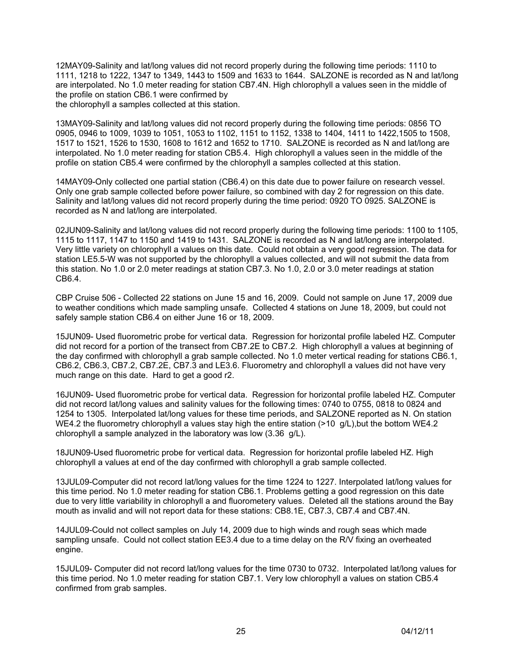12MAY09-Salinity and lat/long values did not record properly during the following time periods: 1110 to 1111, 1218 to 1222, 1347 to 1349, 1443 to 1509 and 1633 to 1644. SALZONE is recorded as N and lat/long are interpolated. No 1.0 meter reading for station CB7.4N. High chlorophyll a values seen in the middle of the profile on station CB6.1 were confirmed by the chlorophyll a samples collected at this station.

13MAY09-Salinity and lat/long values did not record properly during the following time periods: 0856 TO 0905, 0946 to 1009, 1039 to 1051, 1053 to 1102, 1151 to 1152, 1338 to 1404, 1411 to 1422,1505 to 1508, 1517 to 1521, 1526 to 1530, 1608 to 1612 and 1652 to 1710. SALZONE is recorded as N and lat/long are interpolated. No 1.0 meter reading for station CB5.4. High chlorophyll a values seen in the middle of the profile on station CB5.4 were confirmed by the chlorophyll a samples collected at this station.

14MAY09-Only collected one partial station (CB6.4) on this date due to power failure on research vessel. Only one grab sample collected before power failure, so combined with day 2 for regression on this date. Salinity and lat/long values did not record properly during the time period: 0920 TO 0925. SALZONE is recorded as N and lat/long are interpolated.

02JUN09-Salinity and lat/long values did not record properly during the following time periods: 1100 to 1105, 1115 to 1117, 1147 to 1150 and 1419 to 1431. SALZONE is recorded as N and lat/long are interpolated. Very little variety on chlorophyll a values on this date. Could not obtain a very good regression. The data for station LE5.5-W was not supported by the chlorophyll a values collected, and will not submit the data from this station. No 1.0 or 2.0 meter readings at station CB7.3. No 1.0, 2.0 or 3.0 meter readings at station CB6.4.

CBP Cruise 506 - Collected 22 stations on June 15 and 16, 2009. Could not sample on June 17, 2009 due to weather conditions which made sampling unsafe. Collected 4 stations on June 18, 2009, but could not safely sample station CB6.4 on either June 16 or 18, 2009.

15JUN09- Used fluorometric probe for vertical data. Regression for horizontal profile labeled HZ. Computer did not record for a portion of the transect from CB7.2E to CB7.2. High chlorophyll a values at beginning of the day confirmed with chlorophyll a grab sample collected. No 1.0 meter vertical reading for stations CB6.1, CB6.2, CB6.3, CB7.2, CB7.2E, CB7.3 and LE3.6. Fluorometry and chlorophyll a values did not have very much range on this date. Hard to get a good r2.

16JUN09- Used fluorometric probe for vertical data. Regression for horizontal profile labeled HZ. Computer did not record lat/long values and salinity values for the following times: 0740 to 0755, 0818 to 0824 and 1254 to 1305. Interpolated lat/long values for these time periods, and SALZONE reported as N. On station WE4.2 the fluorometry chlorophyll a values stay high the entire station (>10 g/L), but the bottom WE4.2 chlorophyll a sample analyzed in the laboratory was low (3.36 g/L).

18JUN09-Used fluorometric probe for vertical data. Regression for horizontal profile labeled HZ. High chlorophyll a values at end of the day confirmed with chlorophyll a grab sample collected.

13JUL09-Computer did not record lat/long values for the time 1224 to 1227. Interpolated lat/long values for this time period. No 1.0 meter reading for station CB6.1. Problems getting a good regression on this date due to very little variability in chlorophyll a and fluorometery values. Deleted all the stations around the Bay mouth as invalid and will not report data for these stations: CB8.1E, CB7.3, CB7.4 and CB7.4N.

14JUL09-Could not collect samples on July 14, 2009 due to high winds and rough seas which made sampling unsafe. Could not collect station EE3.4 due to a time delay on the R/V fixing an overheated engine.

15JUL09- Computer did not record lat/long values for the time 0730 to 0732. Interpolated lat/long values for this time period. No 1.0 meter reading for station CB7.1. Very low chlorophyll a values on station CB5.4 confirmed from grab samples.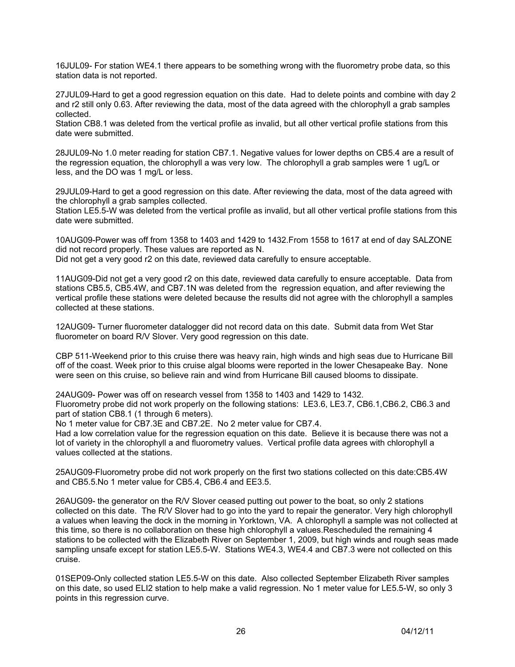16JUL09- For station WE4.1 there appears to be something wrong with the fluorometry probe data, so this station data is not reported.

27JUL09-Hard to get a good regression equation on this date. Had to delete points and combine with day 2 and r2 still only 0.63. After reviewing the data, most of the data agreed with the chlorophyll a grab samples collected.

Station CB8.1 was deleted from the vertical profile as invalid, but all other vertical profile stations from this date were submitted.

28JUL09-No 1.0 meter reading for station CB7.1. Negative values for lower depths on CB5.4 are a result of the regression equation, the chlorophyll a was very low. The chlorophyll a grab samples were 1 ug/L or less, and the DO was 1 mg/L or less.

29JUL09-Hard to get a good regression on this date. After reviewing the data, most of the data agreed with the chlorophyll a grab samples collected.

Station LE5.5-W was deleted from the vertical profile as invalid, but all other vertical profile stations from this date were submitted.

10AUG09-Power was off from 1358 to 1403 and 1429 to 1432.From 1558 to 1617 at end of day SALZONE did not record properly. These values are reported as N.

Did not get a very good r2 on this date, reviewed data carefully to ensure acceptable.

11AUG09-Did not get a very good r2 on this date, reviewed data carefully to ensure acceptable. Data from stations CB5.5, CB5.4W, and CB7.1N was deleted from the regression equation, and after reviewing the vertical profile these stations were deleted because the results did not agree with the chlorophyll a samples collected at these stations.

12AUG09- Turner fluorometer datalogger did not record data on this date. Submit data from Wet Star fluorometer on board R/V Slover. Very good regression on this date.

CBP 511-Weekend prior to this cruise there was heavy rain, high winds and high seas due to Hurricane Bill off of the coast. Week prior to this cruise algal blooms were reported in the lower Chesapeake Bay. None were seen on this cruise, so believe rain and wind from Hurricane Bill caused blooms to dissipate.

24AUG09- Power was off on research vessel from 1358 to 1403 and 1429 to 1432. Fluorometry probe did not work properly on the following stations: LE3.6, LE3.7, CB6.1,CB6.2, CB6.3 and part of station CB8.1 (1 through 6 meters).

No 1 meter value for CB7.3E and CB7.2E. No 2 meter value for CB7.4.

Had a low correlation value for the regression equation on this date. Believe it is because there was not a lot of variety in the chlorophyll a and fluorometry values. Vertical profile data agrees with chlorophyll a values collected at the stations.

25AUG09-Fluorometry probe did not work properly on the first two stations collected on this date:CB5.4W and CB5.5.No 1 meter value for CB5.4, CB6.4 and EE3.5.

26AUG09- the generator on the R/V Slover ceased putting out power to the boat, so only 2 stations collected on this date. The R/V Slover had to go into the yard to repair the generator. Very high chlorophyll a values when leaving the dock in the morning in Yorktown, VA. A chlorophyll a sample was not collected at this time, so there is no collaboration on these high chlorophyll a values.Rescheduled the remaining 4 stations to be collected with the Elizabeth River on September 1, 2009, but high winds and rough seas made sampling unsafe except for station LE5.5-W. Stations WE4.3, WE4.4 and CB7.3 were not collected on this cruise.

01SEP09-Only collected station LE5.5-W on this date. Also collected September Elizabeth River samples on this date, so used ELI2 station to help make a valid regression. No 1 meter value for LE5.5-W, so only 3 points in this regression curve.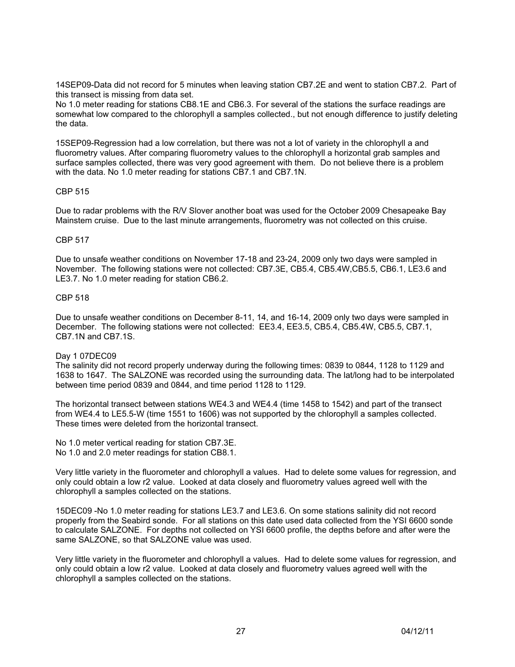14SEP09-Data did not record for 5 minutes when leaving station CB7.2E and went to station CB7.2. Part of this transect is missing from data set.

No 1.0 meter reading for stations CB8.1E and CB6.3. For several of the stations the surface readings are somewhat low compared to the chlorophyll a samples collected., but not enough difference to justify deleting the data.

15SEP09-Regression had a low correlation, but there was not a lot of variety in the chlorophyll a and fluorometry values. After comparing fluorometry values to the chlorophyll a horizontal grab samples and surface samples collected, there was very good agreement with them. Do not believe there is a problem with the data. No 1.0 meter reading for stations CB7.1 and CB7.1N.

## CBP 515

Due to radar problems with the R/V Slover another boat was used for the October 2009 Chesapeake Bay Mainstem cruise. Due to the last minute arrangements, fluorometry was not collected on this cruise.

#### CBP 517

Due to unsafe weather conditions on November 17-18 and 23-24, 2009 only two days were sampled in November. The following stations were not collected: CB7.3E, CB5.4, CB5.4W,CB5.5, CB6.1, LE3.6 and LE3.7. No 1.0 meter reading for station CB6.2.

#### CBP 518

Due to unsafe weather conditions on December 8-11, 14, and 16-14, 2009 only two days were sampled in December. The following stations were not collected: EE3.4, EE3.5, CB5.4, CB5.4W, CB5.5, CB7.1, CB7.1N and CB7.1S.

## Day 1 07DEC09

The salinity did not record properly underway during the following times: 0839 to 0844, 1128 to 1129 and 1638 to 1647. The SALZONE was recorded using the surrounding data. The lat/long had to be interpolated between time period 0839 and 0844, and time period 1128 to 1129.

The horizontal transect between stations WE4.3 and WE4.4 (time 1458 to 1542) and part of the transect from WE4.4 to LE5.5-W (time 1551 to 1606) was not supported by the chlorophyll a samples collected. These times were deleted from the horizontal transect.

No 1.0 meter vertical reading for station CB7.3E. No 1.0 and 2.0 meter readings for station CB8.1.

Very little variety in the fluorometer and chlorophyll a values. Had to delete some values for regression, and only could obtain a low r2 value. Looked at data closely and fluorometry values agreed well with the chlorophyll a samples collected on the stations.

15DEC09 -No 1.0 meter reading for stations LE3.7 and LE3.6. On some stations salinity did not record properly from the Seabird sonde. For all stations on this date used data collected from the YSI 6600 sonde to calculate SALZONE. For depths not collected on YSI 6600 profile, the depths before and after were the same SALZONE, so that SALZONE value was used.

Very little variety in the fluorometer and chlorophyll a values. Had to delete some values for regression, and only could obtain a low r2 value. Looked at data closely and fluorometry values agreed well with the chlorophyll a samples collected on the stations.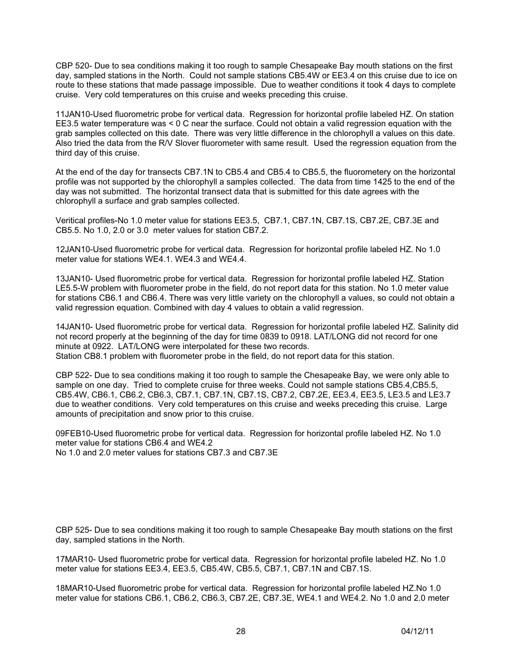CBP 520- Due to sea conditions making it too rough to sample Chesapeake Bay mouth stations on the first day, sampled stations in the North. Could not sample stations CB5.4W or EE3.4 on this cruise due to ice on route to these stations that made passage impossible. Due to weather conditions it took 4 days to complete cruise. Very cold temperatures on this cruise and weeks preceding this cruise.

11JAN10-Used fluorometric probe for vertical data. Regression for horizontal profile labeled HZ. On station EE3.5 water temperature was < 0 C near the surface. Could not obtain a valid regression equation with the grab samples collected on this date. There was very little difference in the chlorophyll a values on this date. Also tried the data from the R/V Slover fluorometer with same result. Used the regression equation from the third day of this cruise.

At the end of the day for transects CB7.1N to CB5.4 and CB5.4 to CB5.5, the fluorometery on the horizontal profile was not supported by the chlorophyll a samples collected. The data from time 1425 to the end of the day was not submitted. The horizontal transect data that is submitted for this date agrees with the chlorophyll a surface and grab samples collected.

Veritical profiles-No 1.0 meter value for stations EE3.5, CB7.1, CB7.1N, CB7.1S, CB7.2E, CB7.3E and CB5.5. No 1.0, 2.0 or 3.0 meter values for station CB7.2.

12JAN10-Used fluorometric probe for vertical data. Regression for horizontal profile labeled HZ. No 1.0 meter value for stations WE4.1. WE4.3 and WE4.4.

13JAN10- Used fluorometric probe for vertical data. Regression for horizontal profile labeled HZ. Station LE5.5-W problem with fluorometer probe in the field, do not report data for this station. No 1.0 meter value for stations CB6.1 and CB6.4. There was very little variety on the chlorophyll a values, so could not obtain a valid regression equation. Combined with day 4 values to obtain a valid regression.

14JAN10- Used fluorometric probe for vertical data. Regression for horizontal profile labeled HZ. Salinity did not record properly at the beginning of the day for time 0839 to 0918. LAT/LONG did not record for one minute at 0922. LAT/LONG were interpolated for these two records. Station CB8.1 problem with fluorometer probe in the field, do not report data for this station.

CBP 522- Due to sea conditions making it too rough to sample the Chesapeake Bay, we were only able to sample on one day. Tried to complete cruise for three weeks. Could not sample stations CB5.4,CB5.5, CB5.4W, CB6.1, CB6.2, CB6.3, CB7.1, CB7.1N, CB7.1S, CB7.2, CB7.2E, EE3.4, EE3.5, LE3.5 and LE3.7 due to weather conditions. Very cold temperatures on this cruise and weeks preceding this cruise. Large amounts of precipitation and snow prior to this cruise.

09FEB10-Used fluorometric probe for vertical data. Regression for horizontal profile labeled HZ. No 1.0 meter value for stations CB6.4 and WE4.2 No 1.0 and 2.0 meter values for stations CB7.3 and CB7.3E

CBP 525- Due to sea conditions making it too rough to sample Chesapeake Bay mouth stations on the first day, sampled stations in the North.

17MAR10- Used fluorometric probe for vertical data. Regression for horizontal profile labeled HZ. No 1.0 meter value for stations EE3.4, EE3.5, CB5.4W, CB5.5, CB7.1, CB7.1N and CB7.1S.

18MAR10-Used fluorometric probe for vertical data. Regression for horizontal profile labeled HZ.No 1.0 meter value for stations CB6.1, CB6.2, CB6.3, CB7.2E, CB7.3E, WE4.1 and WE4.2. No 1.0 and 2.0 meter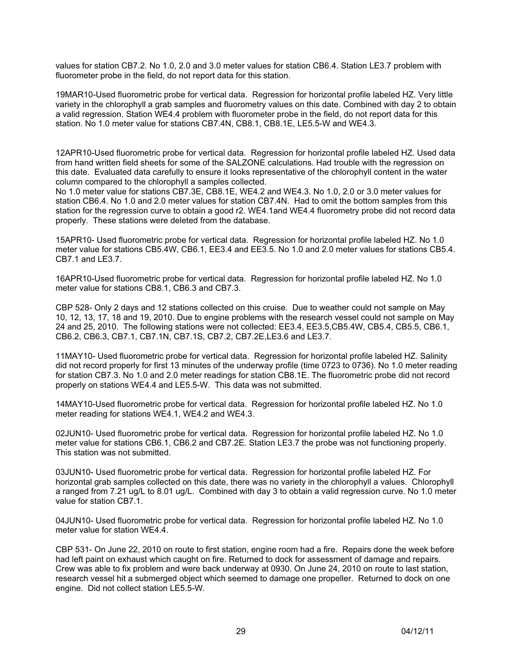values for station CB7.2. No 1.0, 2.0 and 3.0 meter values for station CB6.4. Station LE3.7 problem with fluorometer probe in the field, do not report data for this station.

19MAR10-Used fluorometric probe for vertical data. Regression for horizontal profile labeled HZ. Very little variety in the chlorophyll a grab samples and fluorometry values on this date. Combined with day 2 to obtain a valid regression. Station WE4.4 problem with fluorometer probe in the field, do not report data for this station. No 1.0 meter value for stations CB7.4N, CB8.1, CB8.1E, LE5.5-W and WE4.3.

12APR10-Used fluorometric probe for vertical data. Regression for horizontal profile labeled HZ. Used data from hand written field sheets for some of the SALZONE calculations. Had trouble with the regression on this date. Evaluated data carefully to ensure it looks representative of the chlorophyll content in the water column compared to the chlorophyll a samples collected.

No 1.0 meter value for stations CB7.3E, CB8.1E, WE4.2 and WE4.3. No 1.0, 2.0 or 3.0 meter values for station CB6.4. No 1.0 and 2.0 meter values for station CB7.4N. Had to omit the bottom samples from this station for the regression curve to obtain a good r2. WE4.1and WE4.4 fluorometry probe did not record data properly. These stations were deleted from the database.

15APR10- Used fluorometric probe for vertical data. Regression for horizontal profile labeled HZ. No 1.0 meter value for stations CB5.4W, CB6.1, EE3.4 and EE3.5. No 1.0 and 2.0 meter values for stations CB5.4. CB7.1 and LE3.7.

16APR10-Used fluorometric probe for vertical data. Regression for horizontal profile labeled HZ. No 1.0 meter value for stations CB8.1, CB6.3 and CB7.3.

CBP 528- Only 2 days and 12 stations collected on this cruise. Due to weather could not sample on May 10, 12, 13, 17, 18 and 19, 2010. Due to engine problems with the research vessel could not sample on May 24 and 25, 2010. The following stations were not collected: EE3.4, EE3.5,CB5.4W, CB5.4, CB5.5, CB6.1, CB6.2, CB6.3, CB7.1, CB7.1N, CB7.1S, CB7.2, CB7.2E,LE3.6 and LE3.7.

11MAY10- Used fluorometric probe for vertical data. Regression for horizontal profile labeled HZ. Salinity did not record properly for first 13 minutes of the underway profile (time 0723 to 0736). No 1.0 meter reading for station CB7.3. No 1.0 and 2.0 meter readings for station CB8.1E. The fluorometric probe did not record properly on stations WE4.4 and LE5.5-W. This data was not submitted.

14MAY10-Used fluorometric probe for vertical data. Regression for horizontal profile labeled HZ. No 1.0 meter reading for stations WE4.1, WE4.2 and WE4.3.

02JUN10- Used fluorometric probe for vertical data. Regression for horizontal profile labeled HZ. No 1.0 meter value for stations CB6.1, CB6.2 and CB7.2E. Station LE3.7 the probe was not functioning properly. This station was not submitted.

03JUN10- Used fluorometric probe for vertical data. Regression for horizontal profile labeled HZ. For horizontal grab samples collected on this date, there was no variety in the chlorophyll a values. Chlorophyll a ranged from 7.21 ug/L to 8.01 ug/L. Combined with day 3 to obtain a valid regression curve. No 1.0 meter value for station CB7.1.

04JUN10- Used fluorometric probe for vertical data. Regression for horizontal profile labeled HZ. No 1.0 meter value for station WE4.4.

CBP 531- On June 22, 2010 on route to first station, engine room had a fire. Repairs done the week before had left paint on exhaust which caught on fire. Returned to dock for assessment of damage and repairs. Crew was able to fix problem and were back underway at 0930. On June 24, 2010 on route to last station, research vessel hit a submerged object which seemed to damage one propeller. Returned to dock on one engine. Did not collect station LE5.5-W.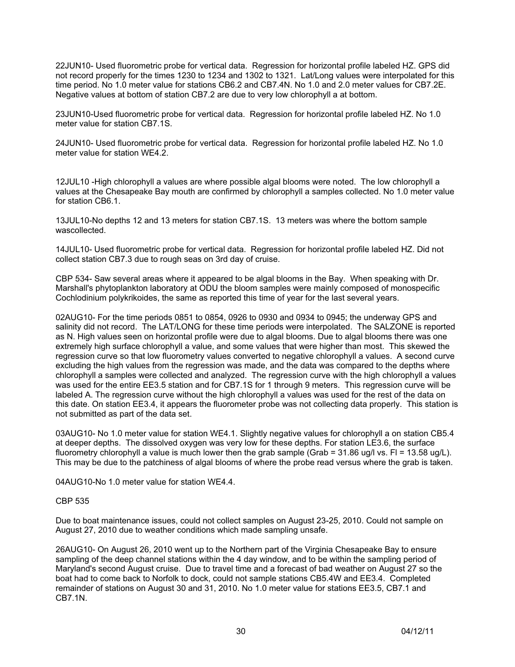22JUN10- Used fluorometric probe for vertical data. Regression for horizontal profile labeled HZ. GPS did not record properly for the times 1230 to 1234 and 1302 to 1321. Lat/Long values were interpolated for this time period. No 1.0 meter value for stations CB6.2 and CB7.4N. No 1.0 and 2.0 meter values for CB7.2E. Negative values at bottom of station CB7.2 are due to very low chlorophyll a at bottom.

23JUN10-Used fluorometric probe for vertical data. Regression for horizontal profile labeled HZ. No 1.0 meter value for station CB7.1S.

24JUN10- Used fluorometric probe for vertical data. Regression for horizontal profile labeled HZ. No 1.0 meter value for station WE4.2.

12JUL10 -High chlorophyll a values are where possible algal blooms were noted. The low chlorophyll a values at the Chesapeake Bay mouth are confirmed by chlorophyll a samples collected. No 1.0 meter value for station CB6.1.

13JUL10-No depths 12 and 13 meters for station CB7.1S. 13 meters was where the bottom sample wascollected.

14JUL10- Used fluorometric probe for vertical data. Regression for horizontal profile labeled HZ. Did not collect station CB7.3 due to rough seas on 3rd day of cruise.

CBP 534- Saw several areas where it appeared to be algal blooms in the Bay. When speaking with Dr. Marshall's phytoplankton laboratory at ODU the bloom samples were mainly composed of monospecific Cochlodinium polykrikoides, the same as reported this time of year for the last several years.

02AUG10- For the time periods 0851 to 0854, 0926 to 0930 and 0934 to 0945; the underway GPS and salinity did not record. The LAT/LONG for these time periods were interpolated. The SALZONE is reported as N. High values seen on horizontal profile were due to algal blooms. Due to algal blooms there was one extremely high surface chlorophyll a value, and some values that were higher than most. This skewed the regression curve so that low fluorometry values converted to negative chlorophyll a values. A second curve excluding the high values from the regression was made, and the data was compared to the depths where chlorophyll a samples were collected and analyzed. The regression curve with the high chlorophyll a values was used for the entire EE3.5 station and for CB7.1S for 1 through 9 meters. This regression curve will be labeled A. The regression curve without the high chlorophyll a values was used for the rest of the data on this date. On station EE3.4, it appears the fluorometer probe was not collecting data properly. This station is not submitted as part of the data set.

03AUG10- No 1.0 meter value for station WE4.1. Slightly negative values for chlorophyll a on station CB5.4 at deeper depths. The dissolved oxygen was very low for these depths. For station LE3.6, the surface fluorometry chlorophyll a value is much lower then the grab sample (Grab = 31.86 ug/l vs. Fl = 13.58 ug/L). This may be due to the patchiness of algal blooms of where the probe read versus where the grab is taken.

04AUG10-No 1.0 meter value for station WE4.4.

## CBP 535

Due to boat maintenance issues, could not collect samples on August 23-25, 2010. Could not sample on August 27, 2010 due to weather conditions which made sampling unsafe.

26AUG10- On August 26, 2010 went up to the Northern part of the Virginia Chesapeake Bay to ensure sampling of the deep channel stations within the 4 day window, and to be within the sampling period of Maryland's second August cruise. Due to travel time and a forecast of bad weather on August 27 so the boat had to come back to Norfolk to dock, could not sample stations CB5.4W and EE3.4. Completed remainder of stations on August 30 and 31, 2010. No 1.0 meter value for stations EE3.5, CB7.1 and CB7.1N.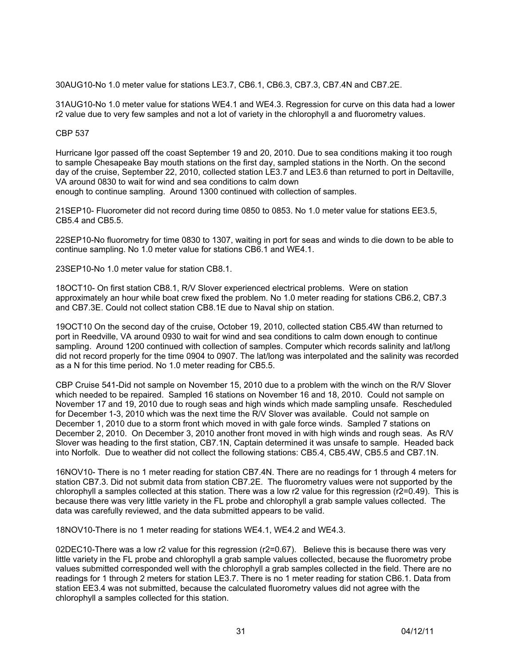30AUG10-No 1.0 meter value for stations LE3.7, CB6.1, CB6.3, CB7.3, CB7.4N and CB7.2E.

31AUG10-No 1.0 meter value for stations WE4.1 and WE4.3. Regression for curve on this data had a lower r2 value due to very few samples and not a lot of variety in the chlorophyll a and fluorometry values.

# CBP 537

Hurricane Igor passed off the coast September 19 and 20, 2010. Due to sea conditions making it too rough to sample Chesapeake Bay mouth stations on the first day, sampled stations in the North. On the second day of the cruise, September 22, 2010, collected station LE3.7 and LE3.6 than returned to port in Deltaville, VA around 0830 to wait for wind and sea conditions to calm down enough to continue sampling. Around 1300 continued with collection of samples.

21SEP10- Fluorometer did not record during time 0850 to 0853. No 1.0 meter value for stations EE3.5, CB5.4 and CB5.5.

22SEP10-No fluorometry for time 0830 to 1307, waiting in port for seas and winds to die down to be able to continue sampling. No 1.0 meter value for stations CB6.1 and WE4.1.

23SEP10-No 1.0 meter value for station CB8.1.

18OCT10- On first station CB8.1, R/V Slover experienced electrical problems. Were on station approximately an hour while boat crew fixed the problem. No 1.0 meter reading for stations CB6.2, CB7.3 and CB7.3E. Could not collect station CB8.1E due to Naval ship on station.

19OCT10 On the second day of the cruise, October 19, 2010, collected station CB5.4W than returned to port in Reedville, VA around 0930 to wait for wind and sea conditions to calm down enough to continue sampling. Around 1200 continued with collection of samples. Computer which records salinity and lat/long did not record properly for the time 0904 to 0907. The lat/long was interpolated and the salinity was recorded as a N for this time period. No 1.0 meter reading for CB5.5.

CBP Cruise 541-Did not sample on November 15, 2010 due to a problem with the winch on the R/V Slover which needed to be repaired. Sampled 16 stations on November 16 and 18, 2010. Could not sample on November 17 and 19, 2010 due to rough seas and high winds which made sampling unsafe. Rescheduled for December 1-3, 2010 which was the next time the R/V Slover was available. Could not sample on December 1, 2010 due to a storm front which moved in with gale force winds. Sampled 7 stations on December 2, 2010. On December 3, 2010 another front moved in with high winds and rough seas. As R/V Slover was heading to the first station, CB7.1N, Captain determined it was unsafe to sample. Headed back into Norfolk. Due to weather did not collect the following stations: CB5.4, CB5.4W, CB5.5 and CB7.1N.

16NOV10- There is no 1 meter reading for station CB7.4N. There are no readings for 1 through 4 meters for station CB7.3. Did not submit data from station CB7.2E. The fluorometry values were not supported by the chlorophyll a samples collected at this station. There was a low r2 value for this regression (r2=0.49). This is because there was very little variety in the FL probe and chlorophyll a grab sample values collected. The data was carefully reviewed, and the data submitted appears to be valid.

18NOV10-There is no 1 meter reading for stations WE4.1, WE4.2 and WE4.3.

02DEC10-There was a low r2 value for this regression (r2=0.67). Believe this is because there was very little variety in the FL probe and chlorophyll a grab sample values collected, because the fluorometry probe values submitted corresponded well with the chlorophyll a grab samples collected in the field. There are no readings for 1 through 2 meters for station LE3.7. There is no 1 meter reading for station CB6.1. Data from station EE3.4 was not submitted, because the calculated fluorometry values did not agree with the chlorophyll a samples collected for this station.